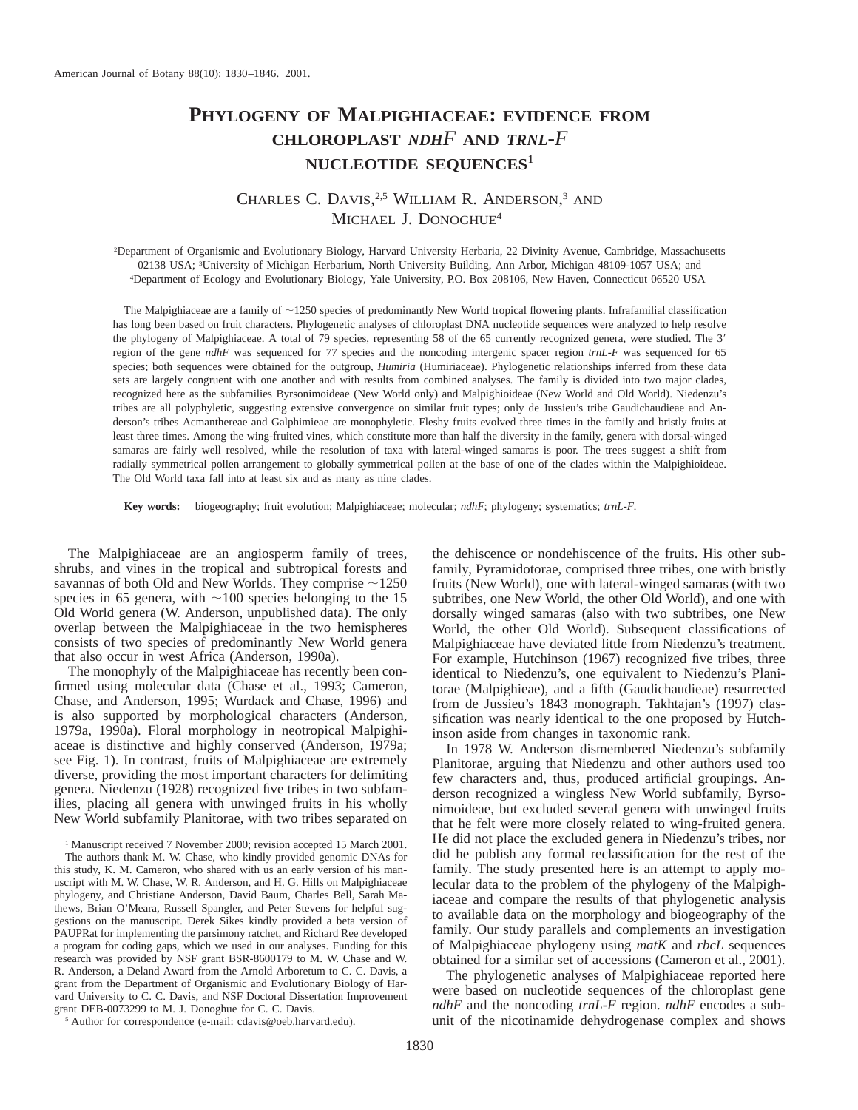# **PHYLOGENY OF MALPIGHIACEAE: EVIDENCE FROM CHLOROPLAST** *NDHF* **AND** *TRNL***-***F* **NUCLEOTIDE SEQUENCES**<sup>1</sup>

## CHARLES C. DAVIS,<sup>2,5</sup> WILLIAM R. ANDERSON,<sup>3</sup> AND MICHAEL J. DONOGHUE<sup>4</sup>

2 Department of Organismic and Evolutionary Biology, Harvard University Herbaria, 22 Divinity Avenue, Cambridge, Massachusetts 02138 USA; <sup>3</sup>University of Michigan Herbarium, North University Building, Ann Arbor, Michigan 48109-1057 USA; and 4 Department of Ecology and Evolutionary Biology, Yale University, P.O. Box 208106, New Haven, Connecticut 06520 USA

The Malpighiaceae are a family of  $\sim$ 1250 species of predominantly New World tropical flowering plants. Infrafamilial classification has long been based on fruit characters. Phylogenetic analyses of chloroplast DNA nucleotide sequences were analyzed to help resolve the phylogeny of Malpighiaceae. A total of 79 species, representing 58 of the 65 currently recognized genera, were studied. The 3' region of the gene *ndhF* was sequenced for 77 species and the noncoding intergenic spacer region *trnL-F* was sequenced for 65 species; both sequences were obtained for the outgroup, *Humiria* (Humiriaceae). Phylogenetic relationships inferred from these data sets are largely congruent with one another and with results from combined analyses. The family is divided into two major clades, recognized here as the subfamilies Byrsonimoideae (New World only) and Malpighioideae (New World and Old World). Niedenzu's tribes are all polyphyletic, suggesting extensive convergence on similar fruit types; only de Jussieu's tribe Gaudichaudieae and Anderson's tribes Acmanthereae and Galphimieae are monophyletic. Fleshy fruits evolved three times in the family and bristly fruits at least three times. Among the wing-fruited vines, which constitute more than half the diversity in the family, genera with dorsal-winged samaras are fairly well resolved, while the resolution of taxa with lateral-winged samaras is poor. The trees suggest a shift from radially symmetrical pollen arrangement to globally symmetrical pollen at the base of one of the clades within the Malpighioideae. The Old World taxa fall into at least six and as many as nine clades.

**Key words:** biogeography; fruit evolution; Malpighiaceae; molecular; *ndhF*; phylogeny; systematics; *trnL-F.*

The Malpighiaceae are an angiosperm family of trees, shrubs, and vines in the tropical and subtropical forests and savannas of both Old and New Worlds. They comprise  $\sim$ 1250 species in 65 genera, with  $\sim$ 100 species belonging to the 15 Old World genera (W. Anderson, unpublished data). The only overlap between the Malpighiaceae in the two hemispheres consists of two species of predominantly New World genera that also occur in west Africa (Anderson, 1990a).

The monophyly of the Malpighiaceae has recently been confirmed using molecular data (Chase et al., 1993; Cameron, Chase, and Anderson, 1995; Wurdack and Chase, 1996) and is also supported by morphological characters (Anderson, 1979a, 1990a). Floral morphology in neotropical Malpighiaceae is distinctive and highly conserved (Anderson, 1979a; see Fig. 1). In contrast, fruits of Malpighiaceae are extremely diverse, providing the most important characters for delimiting genera. Niedenzu (1928) recognized five tribes in two subfamilies, placing all genera with unwinged fruits in his wholly New World subfamily Planitorae, with two tribes separated on

<sup>1</sup> Manuscript received 7 November 2000; revision accepted 15 March 2001. The authors thank M. W. Chase, who kindly provided genomic DNAs for this study, K. M. Cameron, who shared with us an early version of his manuscript with M. W. Chase, W. R. Anderson, and H. G. Hills on Malpighiaceae phylogeny, and Christiane Anderson, David Baum, Charles Bell, Sarah Mathews, Brian O'Meara, Russell Spangler, and Peter Stevens for helpful suggestions on the manuscript. Derek Sikes kindly provided a beta version of PAUPRat for implementing the parsimony ratchet, and Richard Ree developed a program for coding gaps, which we used in our analyses. Funding for this research was provided by NSF grant BSR-8600179 to M. W. Chase and W. R. Anderson, a Deland Award from the Arnold Arboretum to C. C. Davis, a grant from the Department of Organismic and Evolutionary Biology of Harvard University to C. C. Davis, and NSF Doctoral Dissertation Improvement grant DEB-0073299 to M. J. Donoghue for C. C. Davis.

the dehiscence or nondehiscence of the fruits. His other subfamily, Pyramidotorae, comprised three tribes, one with bristly fruits (New World), one with lateral-winged samaras (with two subtribes, one New World, the other Old World), and one with dorsally winged samaras (also with two subtribes, one New World, the other Old World). Subsequent classifications of Malpighiaceae have deviated little from Niedenzu's treatment. For example, Hutchinson (1967) recognized five tribes, three identical to Niedenzu's, one equivalent to Niedenzu's Planitorae (Malpighieae), and a fifth (Gaudichaudieae) resurrected from de Jussieu's 1843 monograph. Takhtajan's (1997) classification was nearly identical to the one proposed by Hutchinson aside from changes in taxonomic rank.

In 1978 W. Anderson dismembered Niedenzu's subfamily Planitorae, arguing that Niedenzu and other authors used too few characters and, thus, produced artificial groupings. Anderson recognized a wingless New World subfamily, Byrsonimoideae, but excluded several genera with unwinged fruits that he felt were more closely related to wing-fruited genera. He did not place the excluded genera in Niedenzu's tribes, nor did he publish any formal reclassification for the rest of the family. The study presented here is an attempt to apply molecular data to the problem of the phylogeny of the Malpighiaceae and compare the results of that phylogenetic analysis to available data on the morphology and biogeography of the family. Our study parallels and complements an investigation of Malpighiaceae phylogeny using *matK* and *rbcL* sequences obtained for a similar set of accessions (Cameron et al., 2001).

The phylogenetic analyses of Malpighiaceae reported here were based on nucleotide sequences of the chloroplast gene *ndhF* and the noncoding *trnL-F* region. *ndhF* encodes a subunit of the nicotinamide dehydrogenase complex and shows

<sup>5</sup> Author for correspondence (e-mail: cdavis@oeb.harvard.edu).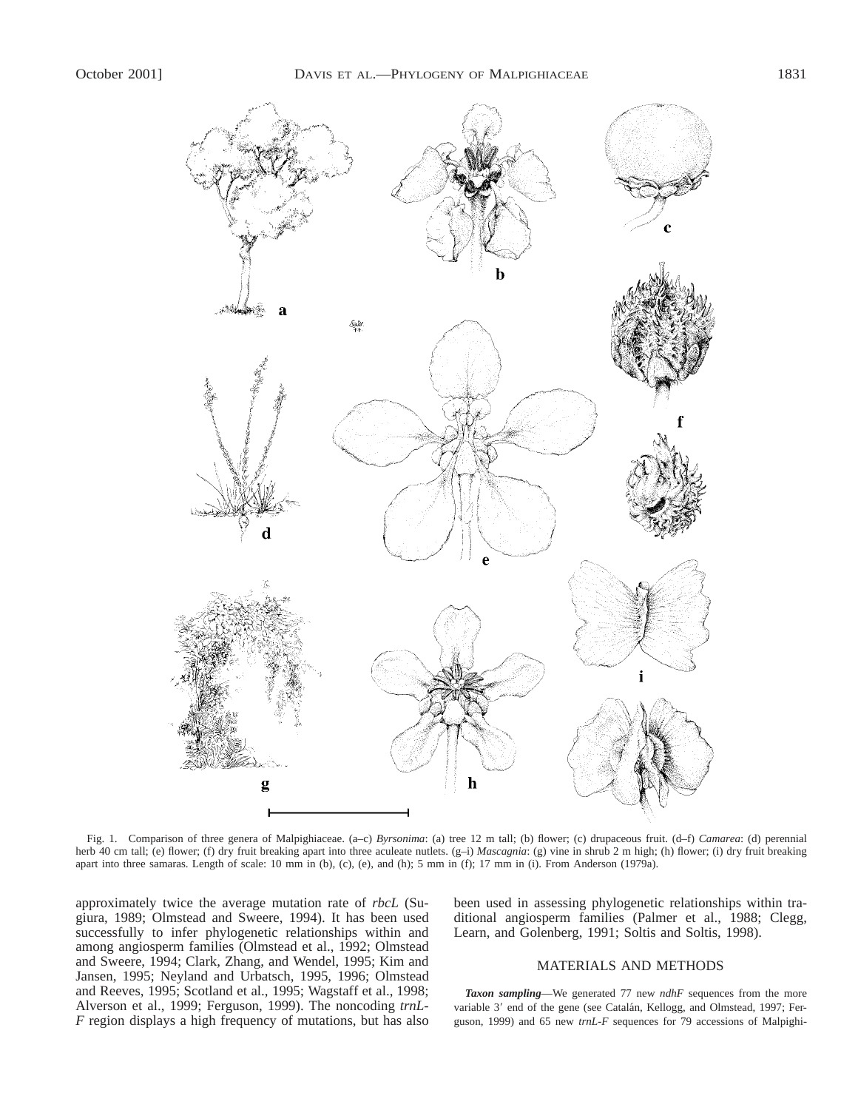

Fig. 1. Comparison of three genera of Malpighiaceae. (a–c) *Byrsonima*: (a) tree 12 m tall; (b) flower; (c) drupaceous fruit. (d–f) *Camarea*: (d) perennial herb 40 cm tall; (e) flower; (f) dry fruit breaking apart into three aculeate nutlets. (g-i) *Mascagnia*: (g) vine in shrub 2 m high; (h) flower; (i) dry fruit breaking apart into three samaras. Length of scale: 10 mm in (b), (c), (e), and (h); 5 mm in (f); 17 mm in (i). From Anderson (1979a).

approximately twice the average mutation rate of *rbcL* (Sugiura, 1989; Olmstead and Sweere, 1994). It has been used successfully to infer phylogenetic relationships within and among angiosperm families (Olmstead et al., 1992; Olmstead and Sweere, 1994; Clark, Zhang, and Wendel, 1995; Kim and Jansen, 1995; Neyland and Urbatsch, 1995, 1996; Olmstead and Reeves, 1995; Scotland et al., 1995; Wagstaff et al., 1998; Alverson et al., 1999; Ferguson, 1999). The noncoding *trnL-F* region displays a high frequency of mutations, but has also

been used in assessing phylogenetic relationships within traditional angiosperm families (Palmer et al., 1988; Clegg, Learn, and Golenberg, 1991; Soltis and Soltis, 1998).

#### MATERIALS AND METHODS

*Taxon sampling*—We generated 77 new *ndhF* sequences from the more variable 3' end of the gene (see Catalán, Kellogg, and Olmstead, 1997; Ferguson, 1999) and 65 new *trnL-F* sequences for 79 accessions of Malpighi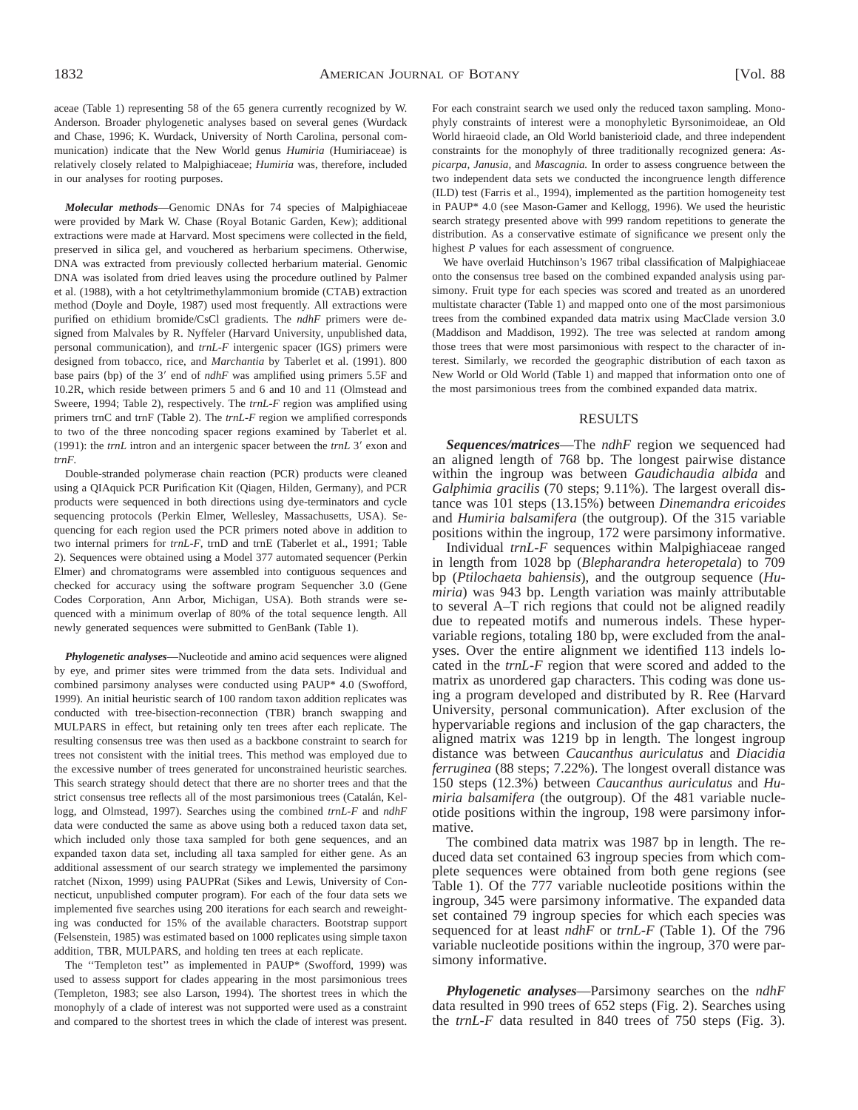aceae (Table 1) representing 58 of the 65 genera currently recognized by W. Anderson. Broader phylogenetic analyses based on several genes (Wurdack and Chase, 1996; K. Wurdack, University of North Carolina, personal communication) indicate that the New World genus *Humiria* (Humiriaceae) is relatively closely related to Malpighiaceae; *Humiria* was, therefore, included in our analyses for rooting purposes.

*Molecular methods*—Genomic DNAs for 74 species of Malpighiaceae were provided by Mark W. Chase (Royal Botanic Garden, Kew); additional extractions were made at Harvard. Most specimens were collected in the field, preserved in silica gel, and vouchered as herbarium specimens. Otherwise, DNA was extracted from previously collected herbarium material. Genomic DNA was isolated from dried leaves using the procedure outlined by Palmer et al. (1988), with a hot cetyltrimethylammonium bromide (CTAB) extraction method (Doyle and Doyle, 1987) used most frequently. All extractions were purified on ethidium bromide/CsCl gradients. The *ndhF* primers were designed from Malvales by R. Nyffeler (Harvard University, unpublished data, personal communication), and *trnL-F* intergenic spacer (IGS) primers were designed from tobacco, rice, and *Marchantia* by Taberlet et al. (1991). 800 base pairs (bp) of the 3' end of *ndhF* was amplified using primers 5.5F and 10.2R, which reside between primers 5 and 6 and 10 and 11 (Olmstead and Sweere, 1994; Table 2), respectively. The *trnL-F* region was amplified using primers trnC and trnF (Table 2). The *trnL-F* region we amplified corresponds to two of the three noncoding spacer regions examined by Taberlet et al. (1991): the  $trnL$  intron and an intergenic spacer between the  $trnL$  3' exon and *trnF.*

Double-stranded polymerase chain reaction (PCR) products were cleaned using a QIAquick PCR Purification Kit (Qiagen, Hilden, Germany), and PCR products were sequenced in both directions using dye-terminators and cycle sequencing protocols (Perkin Elmer, Wellesley, Massachusetts, USA). Sequencing for each region used the PCR primers noted above in addition to two internal primers for *trnL-F,* trnD and trnE (Taberlet et al., 1991; Table 2). Sequences were obtained using a Model 377 automated sequencer (Perkin Elmer) and chromatograms were assembled into contiguous sequences and checked for accuracy using the software program Sequencher 3.0 (Gene Codes Corporation, Ann Arbor, Michigan, USA). Both strands were sequenced with a minimum overlap of 80% of the total sequence length. All newly generated sequences were submitted to GenBank (Table 1).

*Phylogenetic analyses*—Nucleotide and amino acid sequences were aligned by eye, and primer sites were trimmed from the data sets. Individual and combined parsimony analyses were conducted using PAUP\* 4.0 (Swofford, 1999). An initial heuristic search of 100 random taxon addition replicates was conducted with tree-bisection-reconnection (TBR) branch swapping and MULPARS in effect, but retaining only ten trees after each replicate. The resulting consensus tree was then used as a backbone constraint to search for trees not consistent with the initial trees. This method was employed due to the excessive number of trees generated for unconstrained heuristic searches. This search strategy should detect that there are no shorter trees and that the strict consensus tree reflects all of the most parsimonious trees (Catalán, Kellogg, and Olmstead, 1997). Searches using the combined *trnL-F* and *ndhF* data were conducted the same as above using both a reduced taxon data set, which included only those taxa sampled for both gene sequences, and an expanded taxon data set, including all taxa sampled for either gene. As an additional assessment of our search strategy we implemented the parsimony ratchet (Nixon, 1999) using PAUPRat (Sikes and Lewis, University of Connecticut, unpublished computer program). For each of the four data sets we implemented five searches using 200 iterations for each search and reweighting was conducted for 15% of the available characters. Bootstrap support (Felsenstein, 1985) was estimated based on 1000 replicates using simple taxon addition, TBR, MULPARS, and holding ten trees at each replicate.

The ''Templeton test'' as implemented in PAUP\* (Swofford, 1999) was used to assess support for clades appearing in the most parsimonious trees (Templeton, 1983; see also Larson, 1994). The shortest trees in which the monophyly of a clade of interest was not supported were used as a constraint and compared to the shortest trees in which the clade of interest was present.

For each constraint search we used only the reduced taxon sampling. Monophyly constraints of interest were a monophyletic Byrsonimoideae, an Old World hiraeoid clade, an Old World banisterioid clade, and three independent constraints for the monophyly of three traditionally recognized genera: *Aspicarpa, Janusia,* and *Mascagnia.* In order to assess congruence between the two independent data sets we conducted the incongruence length difference (ILD) test (Farris et al., 1994), implemented as the partition homogeneity test in PAUP\* 4.0 (see Mason-Gamer and Kellogg, 1996). We used the heuristic search strategy presented above with 999 random repetitions to generate the distribution. As a conservative estimate of significance we present only the highest *P* values for each assessment of congruence.

We have overlaid Hutchinson's 1967 tribal classification of Malpighiaceae onto the consensus tree based on the combined expanded analysis using parsimony. Fruit type for each species was scored and treated as an unordered multistate character (Table 1) and mapped onto one of the most parsimonious trees from the combined expanded data matrix using MacClade version 3.0 (Maddison and Maddison, 1992). The tree was selected at random among those trees that were most parsimonious with respect to the character of interest. Similarly, we recorded the geographic distribution of each taxon as New World or Old World (Table 1) and mapped that information onto one of the most parsimonious trees from the combined expanded data matrix.

#### RESULTS

*Sequences/matrices*—The *ndhF* region we sequenced had an aligned length of 768 bp. The longest pairwise distance within the ingroup was between *Gaudichaudia albida* and *Galphimia gracilis* (70 steps; 9.11%). The largest overall distance was 101 steps (13.15%) between *Dinemandra ericoides* and *Humiria balsamifera* (the outgroup). Of the 315 variable positions within the ingroup, 172 were parsimony informative.

Individual *trnL-F* sequences within Malpighiaceae ranged in length from 1028 bp (*Blepharandra heteropetala*) to 709 bp (*Ptilochaeta bahiensis*), and the outgroup sequence (*Humiria*) was 943 bp. Length variation was mainly attributable to several A–T rich regions that could not be aligned readily due to repeated motifs and numerous indels. These hypervariable regions, totaling 180 bp, were excluded from the analyses. Over the entire alignment we identified 113 indels located in the *trnL-F* region that were scored and added to the matrix as unordered gap characters. This coding was done using a program developed and distributed by R. Ree (Harvard University, personal communication). After exclusion of the hypervariable regions and inclusion of the gap characters, the aligned matrix was 1219 bp in length. The longest ingroup distance was between *Caucanthus auriculatus* and *Diacidia ferruginea* (88 steps; 7.22%). The longest overall distance was 150 steps (12.3%) between *Caucanthus auriculatus* and *Humiria balsamifera* (the outgroup). Of the 481 variable nucleotide positions within the ingroup, 198 were parsimony informative.

The combined data matrix was 1987 bp in length. The reduced data set contained 63 ingroup species from which complete sequences were obtained from both gene regions (see Table 1). Of the 777 variable nucleotide positions within the ingroup, 345 were parsimony informative. The expanded data set contained 79 ingroup species for which each species was sequenced for at least *ndhF* or *trnL-F* (Table 1). Of the 796 variable nucleotide positions within the ingroup, 370 were parsimony informative.

*Phylogenetic analyses*—Parsimony searches on the *ndhF* data resulted in 990 trees of 652 steps (Fig. 2). Searches using the *trnL-F* data resulted in 840 trees of 750 steps (Fig. 3).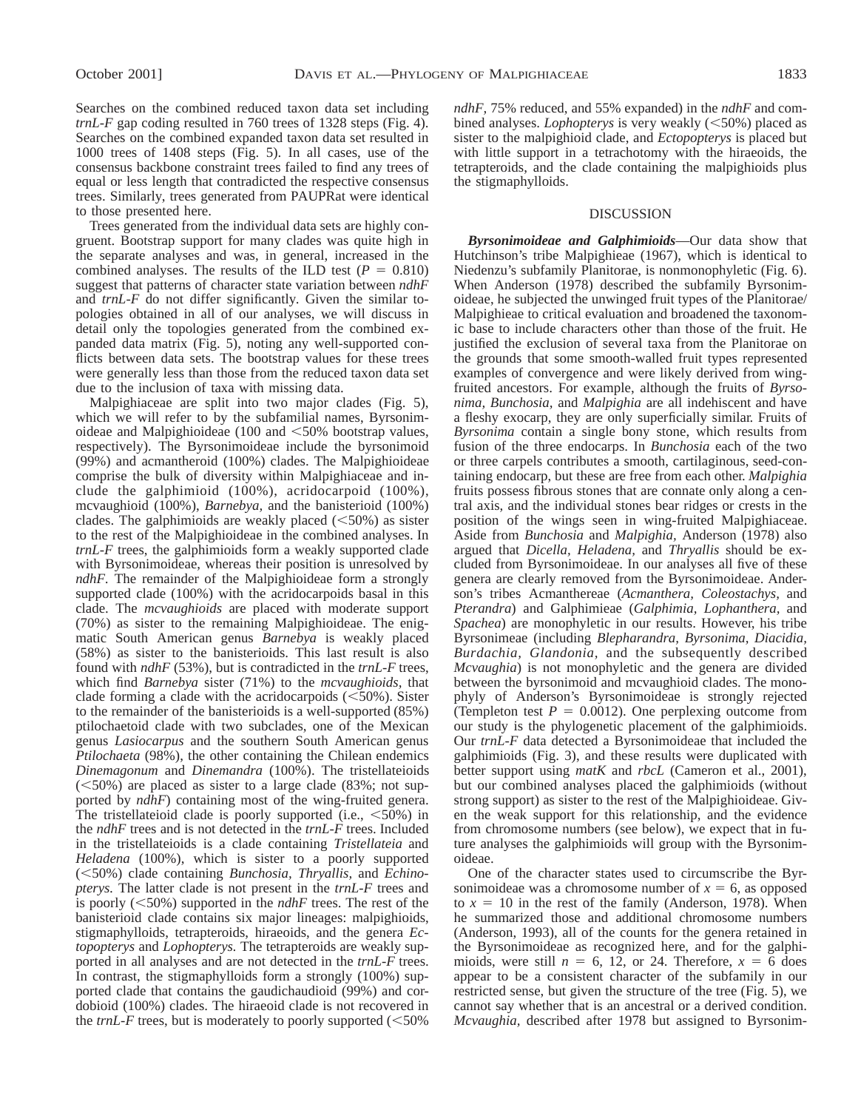Searches on the combined reduced taxon data set including *trnL-F* gap coding resulted in 760 trees of 1328 steps (Fig. 4). Searches on the combined expanded taxon data set resulted in 1000 trees of 1408 steps (Fig. 5). In all cases, use of the consensus backbone constraint trees failed to find any trees of equal or less length that contradicted the respective consensus trees. Similarly, trees generated from PAUPRat were identical to those presented here.

Trees generated from the individual data sets are highly congruent. Bootstrap support for many clades was quite high in the separate analyses and was, in general, increased in the combined analyses. The results of the ILD test  $(P = 0.810)$ suggest that patterns of character state variation between *ndhF* and *trnL-F* do not differ significantly. Given the similar topologies obtained in all of our analyses, we will discuss in detail only the topologies generated from the combined expanded data matrix (Fig. 5), noting any well-supported conflicts between data sets. The bootstrap values for these trees were generally less than those from the reduced taxon data set due to the inclusion of taxa with missing data.

Malpighiaceae are split into two major clades (Fig. 5), which we will refer to by the subfamilial names, Byrsonimoideae and Malpighioideae (100 and  $\leq 50\%$  bootstrap values, respectively). The Byrsonimoideae include the byrsonimoid (99%) and acmantheroid (100%) clades. The Malpighioideae comprise the bulk of diversity within Malpighiaceae and include the galphimioid (100%), acridocarpoid (100%), mcvaughioid (100%), *Barnebya,* and the banisterioid (100%) clades. The galphimioids are weakly placed  $(<50\%)$  as sister to the rest of the Malpighioideae in the combined analyses. In *trnL-F* trees, the galphimioids form a weakly supported clade with Byrsonimoideae, whereas their position is unresolved by *ndhF.* The remainder of the Malpighioideae form a strongly supported clade (100%) with the acridocarpoids basal in this clade. The *mcvaughioids* are placed with moderate support (70%) as sister to the remaining Malpighioideae. The enigmatic South American genus *Barnebya* is weakly placed (58%) as sister to the banisterioids. This last result is also found with *ndhF* (53%), but is contradicted in the *trnL-F* trees, which find *Barnebya* sister (71%) to the *mcvaughioids,* that clade forming a clade with the acridocarpoids  $(<50\%$ ). Sister to the remainder of the banisterioids is a well-supported (85%) ptilochaetoid clade with two subclades, one of the Mexican genus *Lasiocarpus* and the southern South American genus *Ptilochaeta* (98%), the other containing the Chilean endemics *Dinemagonum* and *Dinemandra* (100%). The tristellateioids  $(<50\%)$  are placed as sister to a large clade (83%; not supported by *ndhF*) containing most of the wing-fruited genera. The tristellateioid clade is poorly supported (i.e.,  $\leq 50\%$ ) in the *ndhF* trees and is not detected in the *trnL-F* trees. Included in the tristellateioids is a clade containing *Tristellateia* and *Heladena* (100%), which is sister to a poorly supported (<50%) clade containing *Bunchosia*, *Thryallis*, and *Echinopterys.* The latter clade is not present in the *trnL-F* trees and is poorly  $(<50\%)$  supported in the *ndhF* trees. The rest of the banisterioid clade contains six major lineages: malpighioids, stigmaphylloids, tetrapteroids, hiraeoids, and the genera *Ectopopterys* and *Lophopterys.* The tetrapteroids are weakly supported in all analyses and are not detected in the *trnL-F* trees. In contrast, the stigmaphylloids form a strongly (100%) supported clade that contains the gaudichaudioid (99%) and cordobioid (100%) clades. The hiraeoid clade is not recovered in the *trnL-F* trees, but is moderately to poorly supported  $\leq 50\%$ 

*ndhF,* 75% reduced, and 55% expanded) in the *ndhF* and combined analyses. *Lophopterys* is very weakly  $(<50\%)$  placed as sister to the malpighioid clade, and *Ectopopterys* is placed but with little support in a tetrachotomy with the hiraeoids, the tetrapteroids, and the clade containing the malpighioids plus the stigmaphylloids.

#### DISCUSSION

*Byrsonimoideae and Galphimioids*—Our data show that Hutchinson's tribe Malpighieae (1967), which is identical to Niedenzu's subfamily Planitorae, is nonmonophyletic (Fig. 6). When Anderson (1978) described the subfamily Byrsonimoideae, he subjected the unwinged fruit types of the Planitorae/ Malpighieae to critical evaluation and broadened the taxonomic base to include characters other than those of the fruit. He justified the exclusion of several taxa from the Planitorae on the grounds that some smooth-walled fruit types represented examples of convergence and were likely derived from wingfruited ancestors. For example, although the fruits of *Byrsonima, Bunchosia,* and *Malpighia* are all indehiscent and have a fleshy exocarp, they are only superficially similar. Fruits of *Byrsonima* contain a single bony stone, which results from fusion of the three endocarps. In *Bunchosia* each of the two or three carpels contributes a smooth, cartilaginous, seed-containing endocarp, but these are free from each other. *Malpighia* fruits possess fibrous stones that are connate only along a central axis, and the individual stones bear ridges or crests in the position of the wings seen in wing-fruited Malpighiaceae. Aside from *Bunchosia* and *Malpighia,* Anderson (1978) also argued that *Dicella, Heladena,* and *Thryallis* should be excluded from Byrsonimoideae. In our analyses all five of these genera are clearly removed from the Byrsonimoideae. Anderson's tribes Acmanthereae (*Acmanthera, Coleostachys,* and *Pterandra*) and Galphimieae (*Galphimia, Lophanthera,* and *Spachea*) are monophyletic in our results. However, his tribe Byrsonimeae (including *Blepharandra, Byrsonima, Diacidia, Burdachia, Glandonia,* and the subsequently described *Mcvaughia*) is not monophyletic and the genera are divided between the byrsonimoid and mcvaughioid clades. The monophyly of Anderson's Byrsonimoideae is strongly rejected (Templeton test  $P = 0.0012$ ). One perplexing outcome from our study is the phylogenetic placement of the galphimioids. Our *trnL-F* data detected a Byrsonimoideae that included the galphimioids (Fig. 3), and these results were duplicated with better support using *matK* and *rbcL* (Cameron et al., 2001), but our combined analyses placed the galphimioids (without strong support) as sister to the rest of the Malpighioideae. Given the weak support for this relationship, and the evidence from chromosome numbers (see below), we expect that in future analyses the galphimioids will group with the Byrsonimoideae.

One of the character states used to circumscribe the Byrsonimoideae was a chromosome number of  $x = 6$ , as opposed to  $x = 10$  in the rest of the family (Anderson, 1978). When he summarized those and additional chromosome numbers (Anderson, 1993), all of the counts for the genera retained in the Byrsonimoideae as recognized here, and for the galphimioids, were still  $n = 6$ , 12, or 24. Therefore,  $x = 6$  does appear to be a consistent character of the subfamily in our restricted sense, but given the structure of the tree (Fig. 5), we cannot say whether that is an ancestral or a derived condition. *Mcvaughia,* described after 1978 but assigned to Byrsonim-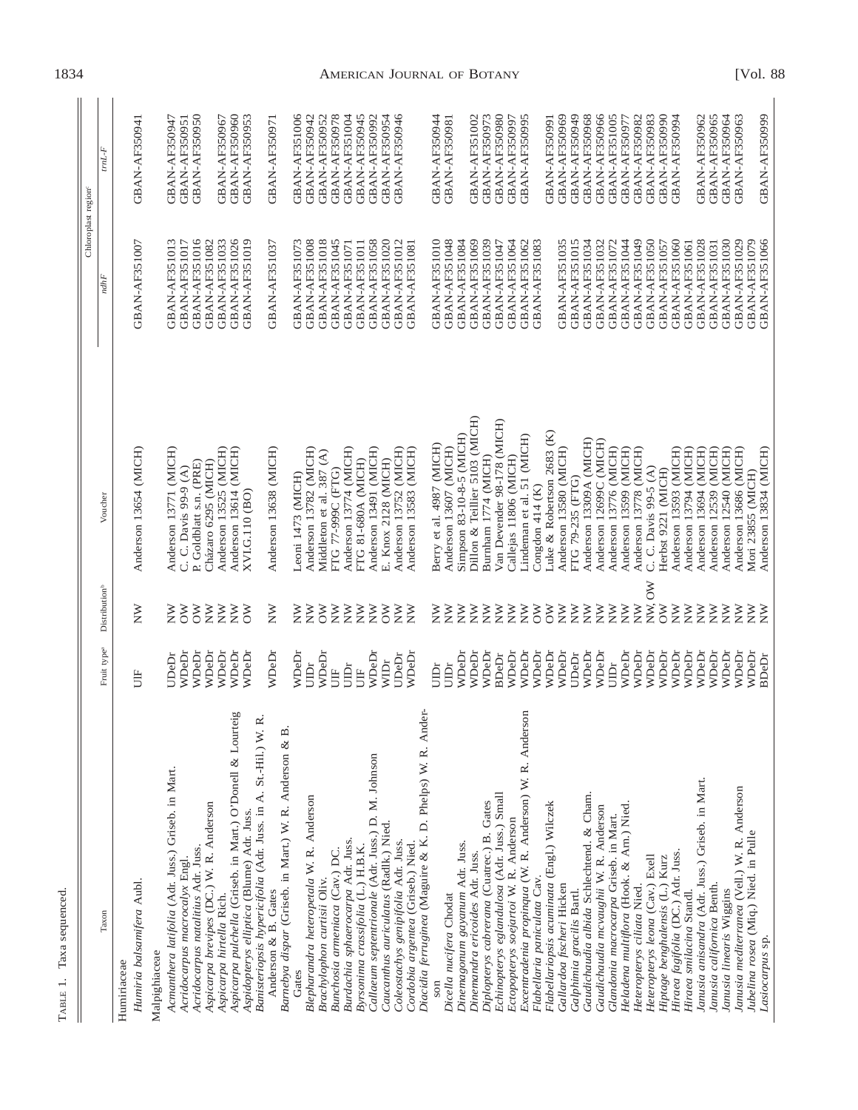| ì<br>ì<br>٢<br>P <sub>AX</sub> .<br>ì |
|---------------------------------------|
|                                       |
| í                                     |
| ٦<br>١                                |

 $\mathbf{I}$ 

|                                                                                                |                         |                                      |                                                           | Chloroplast region                    |                                |
|------------------------------------------------------------------------------------------------|-------------------------|--------------------------------------|-----------------------------------------------------------|---------------------------------------|--------------------------------|
| Taxon                                                                                          | Fruit type <sup>a</sup> | Distribution <sup>b</sup>            | Voucher                                                   | ndhF                                  | $trnL\text{-}F$                |
| Humiria balsamifera Aubl<br>Humiriaceae                                                        | Ë                       | $\breve{\ge}$                        | Anderson 13654 (MICH)                                     | GBAN-AF351007                         | GBAN-AF350941                  |
| Malpighiaceae                                                                                  |                         |                                      |                                                           |                                       |                                |
| Acmanthera latifolia (Adr. Juss.) Griseb. in Mart.                                             | UDeDr                   | $_{\rm Z}^{\rm N}$                   | Anderson 13771 (MICH)                                     | GBAN-AF351013                         | GBAN-AF350947                  |
| Acridocarpus macrocalyx Engl.                                                                  | WDeDr                   | $\delta$<br>$\overline{\delta}$      | C. C. Davis 99-9 (A)                                      | GBAN-AF351017                         | <b>GBAN-AF350951</b>           |
| Aspicarpa brevipes (DC.) W. R. Anderson<br>Acridocarpus natalitius Adr. Juss.                  | WDeDr<br>WDeDr          | $\widetilde{\Sigma}$                 | Cházaro 6295 (MICH)<br>P. Goldblatt s.n. (PRE)            | GBAN-AF351016<br>GBAN-AF351082        | GBAN-AF350950                  |
| Aspicarpa hirtella Rich.                                                                       | WDeDr                   | $\sum_{i=1}^{n}$                     | Anderson 13525 (MICH)                                     | <b>GBAN-AF351033</b>                  | GBAN-AF350967                  |
| Aspicarpa pulchella (Griseb. in Mart.) O'Donell & Lourteig                                     | WDeDr                   | $\widetilde{\Sigma}$                 | Anderson 13614 (MICH)                                     | GBAN-AF351026                         | GBAN-AF350960                  |
| Aspidopterys elliptica (Blume) Adr. Juss.                                                      | WDeDr                   | ð                                    | XVI.G.110 (BO)                                            | <b>GBAN-AF351019</b>                  | GBAN-AF350953                  |
| <b>z</b><br>Banisteriopsis hypericifolia (Adr. Juss. in A. St.-Hil.) W.<br>Anderson & B. Gates | WDeDr                   | $_{\rm \widetilde{X}}$               | Anderson 13638 (MICH)                                     | GBAN-AF351037                         | GBAN-AF350971                  |
| Barnebya dispar (Griseb. in Mart.) W. R. Anderson & B.                                         |                         |                                      |                                                           |                                       |                                |
| Gates                                                                                          | WDeDr                   | $_{\rm \widetilde{z}}$               | Leoni 1473 (MICH)                                         | <b>GBAN-AF351073</b>                  | GBAN-AF351006                  |
| Blepharandra heteropetala W. R. Anderson                                                       | UIDr                    | $\widetilde{z}$                      | Anderson 13782 (MICH)                                     | GBAN-AF351008                         | GBAN-AF350942                  |
| Brachylophon curtisii Oliv.                                                                    | WDeDr                   | $\geqslant$                          | Middleton et al. 387 (A)                                  | GBAN-AF351018                         | GBAN-AF350952                  |
| Bunchosia armeniaca (Cav.) DC.                                                                 | UIDr<br>UIF             | $\widetilde{z}$<br>$\widetilde{z}$   | Anderson 13774 (MICH)<br>FTG 77-999C (FTG)                | GBAN-AF351045<br><b>GBAN-AF351071</b> | GBAN-AF350978<br>GBAN-AF351004 |
| Burdachia sphaerocarpa Adr. Juss.<br>Byrsonima crassifolia (L.) H.B.K.                         | UIF                     | $\widetilde{\Sigma}$                 | FTG 81-680A (MICH)                                        | <b>GBAN-AF351011</b>                  | GBAN-AF350945                  |
| Callaeum septentrionale (Adr. Juss.) D. M. Johnson                                             | WDeDr                   | $\sum_{i=1}^{n}$                     | Anderson 13491 (MICH)                                     | <b>GBAN-AF351058</b>                  | GBAN-AF350992                  |
| Caucanthus auriculatus (Radlk.) Nied.                                                          | WIDr                    | $\frac{8}{2}$                        | E. Knox 2128 (MICH)                                       | GBAN-AF351020                         | GBAN-AF350954                  |
| Coleostachys genipifolia Adr. Juss.                                                            | UDeDr                   | ş                                    | Anderson 13752 (MICH)                                     | GBAN-AF351012                         | GBAN-AF350946                  |
| Cordobia argentea (Griseb.) Nied.                                                              | WDeDi                   | $\mathsf{\check{P}}$                 | Anderson 13583 (MICH)                                     | <b>GBAN-AF351081</b>                  |                                |
| Diacidia ferruginea (Maguire & K. D. Phelps) W. R. Ander-                                      |                         |                                      |                                                           |                                       |                                |
|                                                                                                | UIDr                    | $_{\rm Z}^{\rm N}$                   | Berry et al. 4987 (MICH)                                  | GBAN-AF351010                         | GBAN-AF350944                  |
| Dicella nucifera Chodat                                                                        | UIDr                    | $\widetilde{\check{\mathsf{z}}}$     | Anderson 13607 (MICH)                                     | GBAN-AF351048                         | <b>GBAN-AF350981</b>           |
| Dinemagonum gayanum Adr. Juss.                                                                 | WDeDr                   | $_{\rm \widetilde{z}}$               | Dillon & Teillier 5103 (MICH)<br>Simpson 83-10-8-5 (MICH) | GBAN-AF351084                         |                                |
| Dinemandra ericoides Adr. Juss.                                                                | WDeDr<br>WDeDr          | $\sum_{i=1}^{n}$<br>$\sum_{i=1}^{n}$ | Burnham 1774 (MICH)                                       | GBAN-AF351069<br>GBAN-AF351039        | GBAN-AF351002<br>GBAN-AF350973 |
| Echinopterys eglandulosa (Adr. Juss.) Small<br>Diplopterys cabrerana (Cuatrec.) B. Gates       | <b>BDeDr</b>            | $\widetilde{\Sigma}$                 | Van Devender 98-178 (MICH)                                | GBAN-AF351047                         | GBAN-AF350980                  |
| Ectopopterys soejartoi W. R. Anderson                                                          | WDeDr                   | $\widetilde{\Sigma}$                 | Callejas 11806 (MICH)                                     | GBAN-AF351064                         | GBAN-AF350997                  |
| Excentradenia propinqua (W. R. Anderson) W. R. Anderson                                        | WDeDr                   | $\sum_{i=1}^{n}$                     | Lindeman et al. 51 (MICH)                                 | GBAN-AF351062                         | GBAN-AF350995                  |
| Flabellaria paniculata Cav.                                                                    | WDeDr                   | $\overline{\delta}$                  | Congdon 414 (K)                                           | GBAN-AF351083                         |                                |
| Flabellariopsis acuminata (Engl.) Wilczek                                                      | WDeDr                   | $\delta$                             | Luke & Robertson 2683 (K)                                 |                                       | GBAN-AF350991                  |
| Gallardoa fischeri Hicken                                                                      | WDeDr                   | $\sum_{i=1}^{n}$                     | Anderson 13580 (MICH)                                     | <b>GBAN-AF351035</b>                  | GBAN-AF350969                  |
| Galphimia gracilis Bartl.                                                                      | UDeDr                   | $\sum_{i=1}^{n}$                     | FTG 79-235 (FTG)                                          | <b>GBAN-AF351015</b>                  | GBAN-AF350949                  |
| Gaudichaudia albida Schlechtend. & Cham.                                                       | WDeDr<br>WDeDr          | $\sum_{i=1}^{n}$<br>$\sum_{i=1}^{n}$ | Anderson 13309A (MICH)<br>Anderson 12699C (MICH)          | GBAN-AF351034<br>GBAN-AF351032        | GBAN-AF350966<br>GBAN-AF350968 |
| Gaudichaudia mcvaughii W. R. Anderson<br>Glandonia macrocarpa Griseb. in Mart.                 | UIDr                    | $\sum_{i=1}^{n}$                     | Anderson 13776 (MICH)                                     | GBAN-AF351072                         | GBAN-AF351005                  |
| Heladena multiflora (Hook. & Arn.) Nied.                                                       | WDeDr                   | $\widetilde{z}$                      | Anderson 13599 (MICH)                                     | GBAN-AF351044                         | GBAN-AF350977                  |
| Heteropterys ciliata Nied.                                                                     | WDeDr                   | $\sum_{i=1}^{n}$                     | Anderson 13778 (MICH)                                     | GBAN-AF351049                         | GBAN-AF350982                  |
| Heteropterys leona (Cav.) Exell                                                                | WDeDr                   | NW, OW                               | C. C. Davis 99-5 (A)                                      | GBAN-AF351050                         | GBAN-AF350983                  |
| Hiptage benghalensis (L.) Kurz                                                                 | WDeDr                   | $\delta$                             | Herbst 9221 (MICH)                                        | <b>GBAN-AF351057</b>                  | GBAN-AF350990                  |
| Hiraea fagifolia (DC.) Adr. Juss.                                                              | WDeDr                   | $\widetilde{z}$                      | Anderson 13593 (MICH)                                     | GBAN-AF351060                         | GBAN-AF350994                  |
| Hiraea smilacina Standl.                                                                       | WDeDr                   | $\sum_{i=1}^{n}$                     | (MICH)<br>Anderson 13794                                  | GBAN-AF351061                         |                                |
| Janusia anisandra (Adr. Juss.) Griseb. in Mart.<br>Janusia californica Benth.                  | WDeDr<br>WDeDr          | $\sum_{i=1}^{n}$<br>ş                | Anderson 12539 (MICH)<br>(MICH)<br>Anderson 13694         | GBAN-AF351028<br><b>GBAN-AF351031</b> | GBAN-AF350965<br>GBAN-AF350962 |
| Janusia linearis Wiggins                                                                       | WDeDr                   | Ř                                    | Anderson 12540 (MICH)                                     | <b>GBAN-AF351030</b>                  | GBAN-AF350964                  |
| Janusia mediterranea (Vell.) W. R. Anderson                                                    | WDeDr                   | $\sum_{i=1}^{n}$                     | Anderson 13686 (MICH)                                     | GBAN-AF351029                         | GBAN-AF350963                  |
| Jubelina rosea (Miq.) Nied. in Pulle                                                           | WDeDr                   | $\sum_{i=1}^{n}$                     | Mori 23855 (MICH)                                         | GBAN-AF351079                         |                                |
| Lasiocarpus sp.                                                                                | <b>BDeDr</b>            | $\widetilde{\Sigma}$                 | Anderson 13834 (MICH)                                     | GBAN-AF351066                         | <b>GBAN-AF350999</b>           |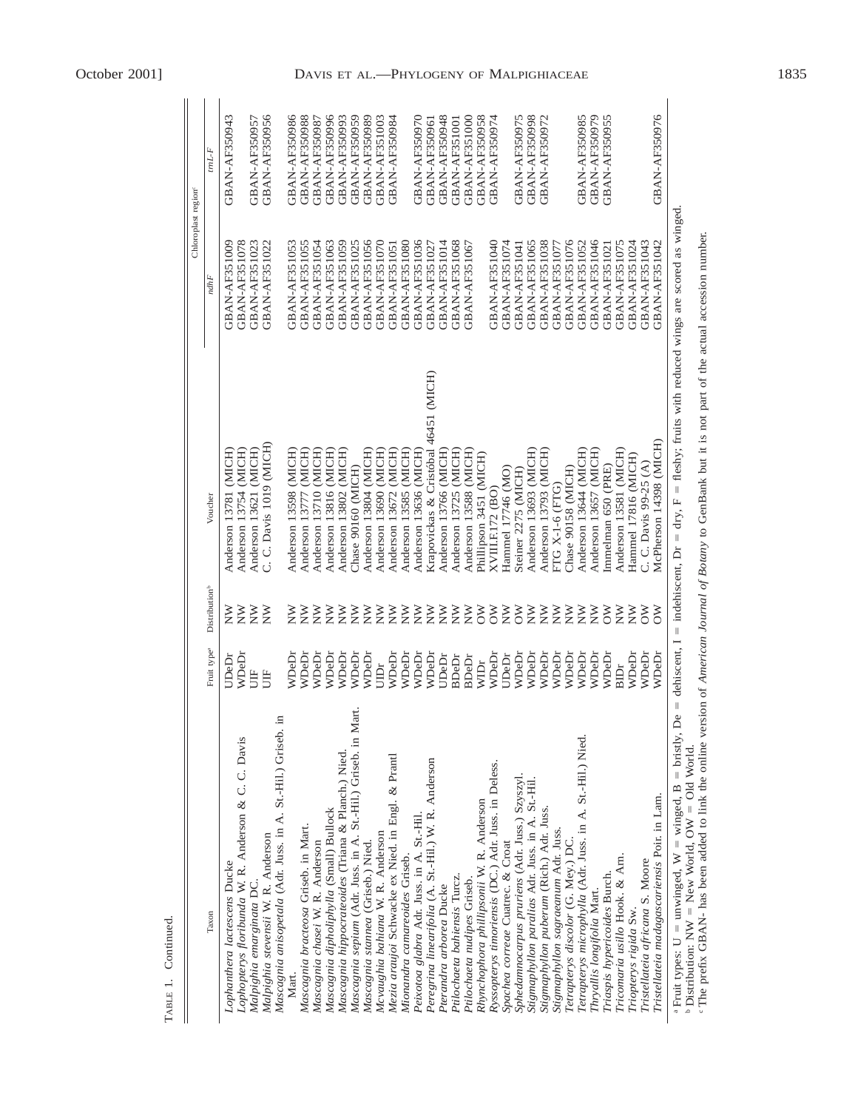|                                                                                                                                                                                                                                                                                                                                                                                                                                                         |                         |                           |                                                                                                                       |               | Chloroplast region <sup>e</sup> |
|---------------------------------------------------------------------------------------------------------------------------------------------------------------------------------------------------------------------------------------------------------------------------------------------------------------------------------------------------------------------------------------------------------------------------------------------------------|-------------------------|---------------------------|-----------------------------------------------------------------------------------------------------------------------|---------------|---------------------------------|
| Taxon                                                                                                                                                                                                                                                                                                                                                                                                                                                   | Fruit type <sup>a</sup> | Distribution <sup>b</sup> | Voucher                                                                                                               | ndhF          | $tmL$ F                         |
| Lophanthera lactescens Ducke                                                                                                                                                                                                                                                                                                                                                                                                                            | <b>JDeDi</b>            | Ř                         | Anderson 13781 (MICH)                                                                                                 | GBAN-AF351009 | <b>GBAN-AF350943</b>            |
| Lophopterys floribunda W. R. Anderson & C. C. Davis                                                                                                                                                                                                                                                                                                                                                                                                     | WDeDi                   | $\widetilde{\Sigma}$      | Anderson 13754 (MICH)                                                                                                 | GBAN-AF351078 |                                 |
| Malpighia emarginata DC.                                                                                                                                                                                                                                                                                                                                                                                                                                | 旨                       | $\geq$                    | Anderson 13621 (MICH)                                                                                                 | GBAN-AF351023 | <b>GBAN-AF350957</b>            |
| Malpighia stevensii W. R. Anderson                                                                                                                                                                                                                                                                                                                                                                                                                      | 旨                       | $\widetilde{\Sigma}$      | C. C. Davis 1019 (MICH)                                                                                               | GBAN-AF351022 | <b>GBAN-AF350956</b>            |
| Ξ.<br>Mascagnia anisopetala (Adr. Juss. in A. St.-Hil.) Griseb.                                                                                                                                                                                                                                                                                                                                                                                         |                         |                           |                                                                                                                       |               |                                 |
| Mart.                                                                                                                                                                                                                                                                                                                                                                                                                                                   | WDeDr                   | $\breve{\mathsf{z}}$      | Anderson 13598 (MICH)                                                                                                 | GBAN-AF351053 | GBAN-AF350986                   |
| Mascagnia bracteosa Griseb. in Mart.                                                                                                                                                                                                                                                                                                                                                                                                                    | WDeDi                   | $\breve{\mathsf{z}}$      | Anderson 13777 (MICH)                                                                                                 | GBAN-AF351055 | <b>GBAN-AF350988</b>            |
| Mascagnia chasei W. R. Anderson                                                                                                                                                                                                                                                                                                                                                                                                                         | WDeDi                   | $\widetilde{\mathsf{Z}}$  | Anderson 13710 (MICH)                                                                                                 | GBAN-AF351054 | GBAN-AF350987                   |
| Mascagnia dipholiphylla (Small) Bullock                                                                                                                                                                                                                                                                                                                                                                                                                 | WDeDr                   | $\mathsf{\check{g}}$      | Anderson 13816 (MICH)                                                                                                 | GBAN-AF351063 | GBAN-AF350996                   |
| Mascagnia hippocrateoides (Triana & Planch.) Nied.                                                                                                                                                                                                                                                                                                                                                                                                      | WDeDr                   | Ř                         | Anderson 13802 (MICH)                                                                                                 | GBAN-AF351059 | GBAN-AF350993                   |
| Mascagnia sepium (Adr. Juss. in A. St.-Hil.) Griseb. in Mart.                                                                                                                                                                                                                                                                                                                                                                                           | WDeDr                   | $\mathsf{\check{g}}$      | Chase 90160 (MICH)                                                                                                    | GBAN-AF351025 | GBAN-AF350959                   |
| Mascagnia stannea (Griseb.) Nied.                                                                                                                                                                                                                                                                                                                                                                                                                       | WDeDr                   | $\mathsf{\check{g}}$      | Anderson 13804 (MICH)                                                                                                 | GBAN-AF351056 | GBAN-AF350989                   |
| Mcvaughia bahiana W. R. Anderson                                                                                                                                                                                                                                                                                                                                                                                                                        | jin<br>Bi               | $\mathsf{\check{P}}$      | Anderson 13690 (MICH)                                                                                                 | GBAN-AF351070 | <b>GBAN-AF351003</b>            |
| Mezia araujoi Schwacke ex Nied. in Engl. & Prantl                                                                                                                                                                                                                                                                                                                                                                                                       | WDeDr                   | ≹≶                        | Anderson 13672 (MICH)                                                                                                 | GBAN-AF351051 | GBAN-AF350984                   |
| Mionandra camareoides Griseb.                                                                                                                                                                                                                                                                                                                                                                                                                           | WDeDr                   |                           | Anderson 13585 (MICH)                                                                                                 | GBAN-AF351080 |                                 |
| Peixotoa glabra Adr. Juss. in A. St.-Hil.                                                                                                                                                                                                                                                                                                                                                                                                               | WDeDr                   | Ř                         | Anderson 13636 (MICH)                                                                                                 | GBAN-AF351036 | GBAN-AF350970                   |
| Peregrina linearifolia (A. St.-Hil.) W. R. Anderson                                                                                                                                                                                                                                                                                                                                                                                                     | WDeDr                   | $\widetilde{\Sigma}$      | Krapovickas & Cristóbal 46451 (MICH)                                                                                  | GBAN-AF351027 | GBAN-AF350961                   |
| Pterandra arborea Ducke                                                                                                                                                                                                                                                                                                                                                                                                                                 | UDeDr                   | $\mathsf{\check{g}}$      | Anderson 13766 (MICH)                                                                                                 | GBAN-AF351014 | GBAN-AF350948                   |
| Ptilochaeta bahiensis Turcz.                                                                                                                                                                                                                                                                                                                                                                                                                            | <b>BDeDr</b>            | $\mathsf{\check{P}}$      | Anderson 13725 (MICH)                                                                                                 | GBAN-AF351068 | GBAN-AF351001                   |
| Ptilochaeta nudipes Griseb.                                                                                                                                                                                                                                                                                                                                                                                                                             | <b>BDeDr</b>            | Ř                         | Anderson 13588 (MICH)                                                                                                 | GBAN-AF351067 | GBAN-AF351000                   |
| Rhynchophora phillipsonii W. R. Anderson                                                                                                                                                                                                                                                                                                                                                                                                                | WIDr                    | $\delta$                  | Phillipson 3451 (MICH)                                                                                                |               | <b>GBAN-AF350958</b>            |
| Ryssopterys timoriensis (DC.) Adr. Juss. in Deless.                                                                                                                                                                                                                                                                                                                                                                                                     | WDeDr                   | $\geqslant$               | XVIII.F.172 (BO)                                                                                                      | GBAN-AF351040 | GBAN-AF350974                   |
| Spachea correae Cuatrec. & Croat                                                                                                                                                                                                                                                                                                                                                                                                                        | UDeDr                   | $\widetilde{\Sigma}$      | Hammel 17746 (MO)                                                                                                     | GBAN-AF351074 |                                 |
| Sphedamnocarpus pruriens (Adr. Juss.) Szyszyl.                                                                                                                                                                                                                                                                                                                                                                                                          | WDeDr                   | $\overline{\delta}$       | Steiner 2275 (MICH)                                                                                                   | GBAN-AF351041 | <b>GBAN-AF350975</b>            |
| Stigmaphyllon paralias Adr. Juss. in A. St.-Hil.                                                                                                                                                                                                                                                                                                                                                                                                        | WDeDr                   | $\sum_{i=1}^{n}$          | Anderson 13693 (MICH)                                                                                                 | GBAN-AF351065 | <b>GBAN-AF350998</b>            |
| Stigmaphyllon puberum (Rich.) Adr. Juss.                                                                                                                                                                                                                                                                                                                                                                                                                | WDeDr                   | Ř                         | Anderson 13793 (MICH)                                                                                                 | GBAN-AF351038 | GBAN-AF350972                   |
| Stigmaphyllon sagraeanum Adr. Juss.                                                                                                                                                                                                                                                                                                                                                                                                                     | WDeDr                   | $\widetilde{\Sigma}$      | <b>FTG X-1-6 (FTG)</b>                                                                                                | GBAN-AF351077 |                                 |
| Tetrapterys discolor (G. Mey.) DC.                                                                                                                                                                                                                                                                                                                                                                                                                      | WDeDr                   | $\widetilde{\Sigma}$      | Chase 90158 (MICH)                                                                                                    | GBAN-AF351076 |                                 |
| Tetrapterys microphylla (Adr. Juss. in A. St.-Hil.) Nied.                                                                                                                                                                                                                                                                                                                                                                                               | WDeDr                   | $\widetilde{\Sigma}$      | Anderson 13644 (MICH)                                                                                                 | GBAN-AF351052 | GBAN-AF350985                   |
| Thryallis longifolia Mart.                                                                                                                                                                                                                                                                                                                                                                                                                              | WDeDr                   | $\widetilde{\Sigma}$      | Anderson 13657 (MICH)                                                                                                 | GBAN-AF351046 | GBAN-AF350979                   |
| Triaspis hypericoides Burch.                                                                                                                                                                                                                                                                                                                                                                                                                            | WDeDr                   | $\overline{\delta}$       | inmelman 650 (PRE)                                                                                                    | GBAN-AF351021 | <b>GBAN-AF350955</b>            |
| Tricomaria usillo Hook. & Arn.                                                                                                                                                                                                                                                                                                                                                                                                                          | <b>BIDr</b>             | $\breve{\ge}$             | Anderson 13581 (MICH)                                                                                                 | GBAN-AF351075 |                                 |
| Triopterys rigida Sw.                                                                                                                                                                                                                                                                                                                                                                                                                                   | WDeDr                   | $\widetilde{\Sigma}$      | Hammel 17816 (MICH)                                                                                                   | GBAN-AF351024 |                                 |
| Tristellateia africana S. Moore                                                                                                                                                                                                                                                                                                                                                                                                                         | WDeDr                   | $\overline{\delta}$       | C. C. Davis 99-25 (A)                                                                                                 | GBAN-AF351043 |                                 |
| Tristellateia madagascariensis Poir. in Lam.                                                                                                                                                                                                                                                                                                                                                                                                            | WDeDr                   | ŏ                         | McPherson 14398 (MICH)                                                                                                | GBAN-AF351042 | GBAN-AF350976                   |
| $\parallel$<br>Å<br><sup>a</sup> Fruit types: $U =$ unwinged, $W =$ winged, $B =$ bristly,<br>b Distribution: $NW = New World$ , $OW = Old World$ .<br>$\mathbf{C}$ and $\mathbf{C}$ are $\mathbf{C}$ and $\mathbf{C}$ are $\mathbf{C}$ and $\mathbf{C}$ are $\mathbf{C}$ and $\mathbf{C}$ are $\mathbf{C}$ and $\mathbf{C}$ are $\mathbf{C}$ and $\mathbf{C}$ are $\mathbf{C}$ and $\mathbf{C}$ are $\mathbf{C}$ and $\mathbf{C}$ are $\mathbf{C}$ and | $\ddot{c}$              |                           | dehiscent, I = indehiscent, $Dr = dry$ , F = fleshy; fruits with reduced wings are scored as winged.<br>$\frac{1}{2}$ |               |                                 |

TABLE 1. Continued.

TABLE 1. Continued.

The prefix GBAN- has been added to link the online version of *American Journal of Botany* to GenBank but it is not part of the actual accession number.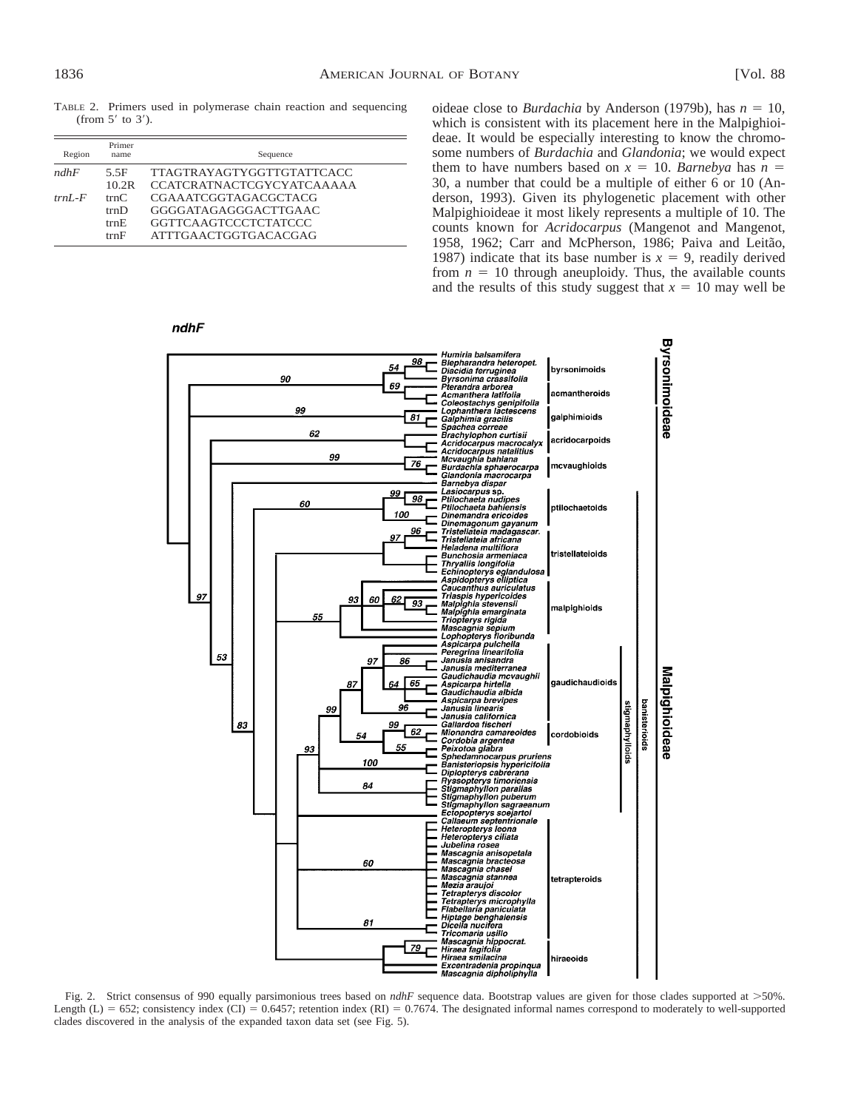TABLE 2. Primers used in polymerase chain reaction and sequencing (from  $5'$  to  $3'$ ).

| Region       | Primer<br>name               | Sequence                                                                                                   |
|--------------|------------------------------|------------------------------------------------------------------------------------------------------------|
| ndhF         | 5.5F<br>10.2R                | <b>TTAGTRAYAGTYGGTTGTATTCACC</b><br><b>CCATCRATNACTCGYCYATCAAAAA</b>                                       |
| $trnI$ - $F$ | trnC<br>trnD<br>trnE<br>trnF | CGAAATCGGTAGACGCTACG<br>GGGGATAGAGGGACTTGAAC<br><b>GGTTCAAGTCCCTCTATCCC</b><br><b>ATTTGAACTGGTGACACGAG</b> |

oideae close to *Burdachia* by Anderson (1979b), has  $n = 10$ , which is consistent with its placement here in the Malpighioideae. It would be especially interesting to know the chromosome numbers of *Burdachia* and *Glandonia*; we would expect them to have numbers based on  $x = 10$ . *Barnebya* has  $n =$ 30, a number that could be a multiple of either 6 or 10 (Anderson, 1993). Given its phylogenetic placement with other Malpighioideae it most likely represents a multiple of 10. The counts known for *Acridocarpus* (Mangenot and Mangenot, 1958, 1962; Carr and McPherson, 1986; Paiva and Leitão, 1987) indicate that its base number is  $x = 9$ , readily derived from  $n = 10$  through aneuploidy. Thus, the available counts and the results of this study suggest that  $x = 10$  may well be

**Byrsonimoideae** Humiria balsamifera<br>Blepharandra heteropet.<br>Diacidia ferruginea 98 54 bvrsonimoids 90 *Byrsonima crassifolia* Byrsonima crassitolia<br>Pterandra arborea<br>Acmanthera latifolia<br>Coleostachys genipifolia<br>Lophanthera lactescens<br>Galphimia gracilis бq acmantheroids 99 galphimioids  $B1$ Gaipmimia gracinis<br>Spachea correae<br>Brachylophon curtisii<br>Acridocarpus natalitius<br>McVaughia bahiana<br>Burdachia sphaerocarpa<br>Glandonia macrocarpa<br>Glandonia macrocarpa 62 acridocarpoids 99 76 mcvaughioids Burdachia sphaerocarpa<br>Glandonia macrocarpa<br>Glandonia macrocarpa<br>Lasiocarpus sp.<br>Piliochaeta nudipes<br>Dinemandra ericoides<br>Dinemandra ericoides<br>Dinemandra ericoides<br>Tristellateia andagacar<br>Tristellateia andagacar<br>Heladena m  $\frac{99}{98}$ 60 ptilochaetoids 100 96 tristellateinids 97 61 62  $\overline{g_3}$ malpighioids 53 rereginia anisandra<br>Janusia mediterranea<br>Gaudichaudia mcvaughii<br>Aspicarpa hirtella<br>Gaudichaudia albida 97 8ĥ Malpighioideae 65 gaudichaudioids Aspicarpa brevipes<br>Janusia linearis banisterioids Aspucajn previpesi<br>
- Janusia linearis<br>
- Gallardoa fischeri<br>
- Gallardoa fischeri<br>
- Cordobia argentea<br>
- Cordobia argentea<br>
- Peixotoa glabra<br>
- Peixotoa glabra<br>
- Peixotoa glabra<br>
- Bigmaphyllon parallas<br>
- Hyssopterys 9Ā stigmaphylloids 9¢ 83 99  $62$ cordobioids 54 EE 93 100 84 Jubelina rosea<br>Mascagnia anisopetala<br>Mascagnia chasei<br>Mascagnia chasei<br>Mascagnia stannea<br>Mascagnia stannea<br>Mezia araujoi<br>Tetrapterys microphylla<br>Habellaria paniculata<br>Hiptage benghalensis<br>Hiptage benghalensis<br>Dicella nucit 60 tetrapteroids  $B1$ rncomana usinio<br>Mascagnia hippocrat.<br>Hiraea fagifolia<br>Hiraea smilacina<br>Excentradenia propinqua<br>Mascagnia dipholiphylla 79 hiraeoids

Fig. 2. Strict consensus of 990 equally parsimonious trees based on *ndhF* sequence data. Bootstrap values are given for those clades supported at >50%. Length (L) = 652; consistency index (CI) = 0.6457; retention index (RI) = 0.7674. The designated informal names correspond to moderately to well-supported clades discovered in the analysis of the expanded taxon data set (see Fig. 5).

### $ndhF$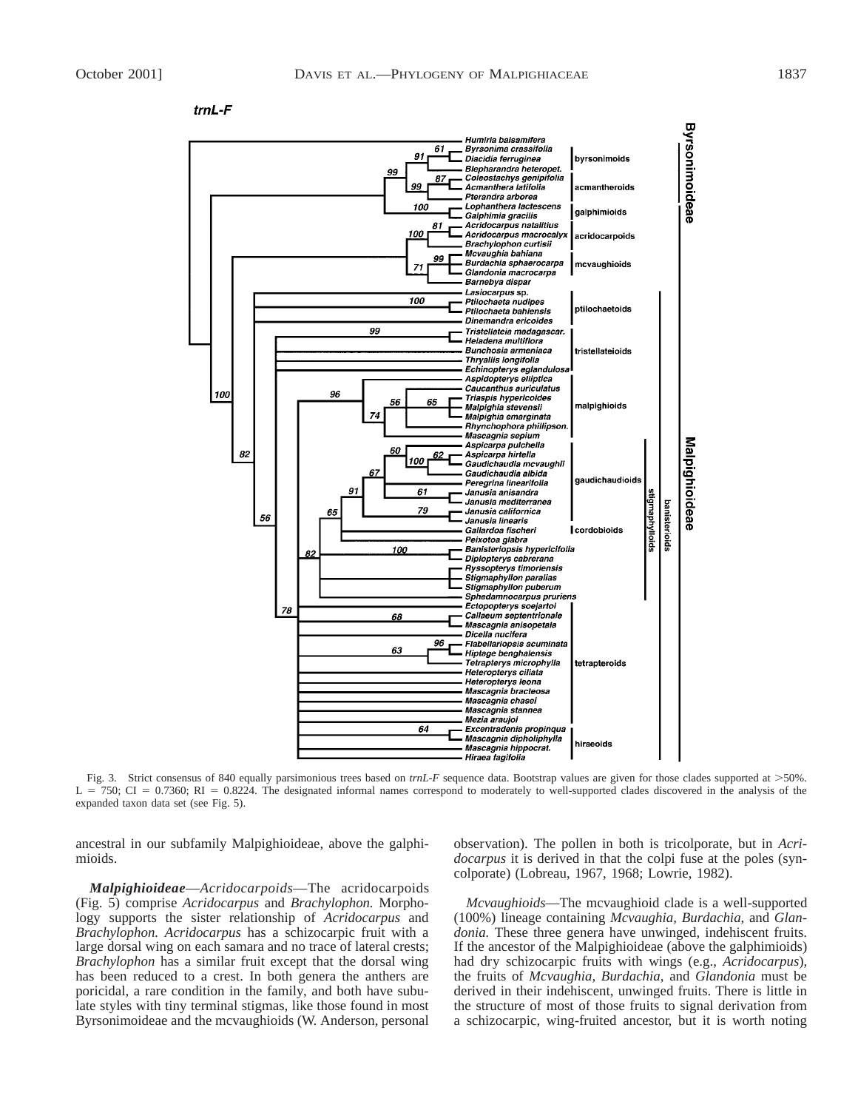

Fig. 3. Strict consensus of 840 equally parsimonious trees based on  $trnL$ -F sequence data. Bootstrap values are given for those clades supported at >50%.  $L = 750$ ; CI = 0.7360; RI = 0.8224. The designated informal names correspond to moderately to well-supported clades discovered in the analysis of the expanded taxon data set (see Fig. 5).

ancestral in our subfamily Malpighioideae, above the galphimioids.

*Malpighioideae*—*Acridocarpoids*—The acridocarpoids (Fig. 5) comprise *Acridocarpus* and *Brachylophon.* Morphology supports the sister relationship of *Acridocarpus* and *Brachylophon. Acridocarpus* has a schizocarpic fruit with a large dorsal wing on each samara and no trace of lateral crests; *Brachylophon* has a similar fruit except that the dorsal wing has been reduced to a crest. In both genera the anthers are poricidal, a rare condition in the family, and both have subulate styles with tiny terminal stigmas, like those found in most Byrsonimoideae and the mcvaughioids (W. Anderson, personal

observation). The pollen in both is tricolporate, but in *Acridocarpus* it is derived in that the colpi fuse at the poles (syncolporate) (Lobreau, 1967, 1968; Lowrie, 1982).

*Mcvaughioids*—The mcvaughioid clade is a well-supported (100%) lineage containing *Mcvaughia, Burdachia,* and *Glandonia.* These three genera have unwinged, indehiscent fruits. If the ancestor of the Malpighioideae (above the galphimioids) had dry schizocarpic fruits with wings (e.g., *Acridocarpus*), the fruits of *Mcvaughia, Burdachia,* and *Glandonia* must be derived in their indehiscent, unwinged fruits. There is little in the structure of most of those fruits to signal derivation from a schizocarpic, wing-fruited ancestor, but it is worth noting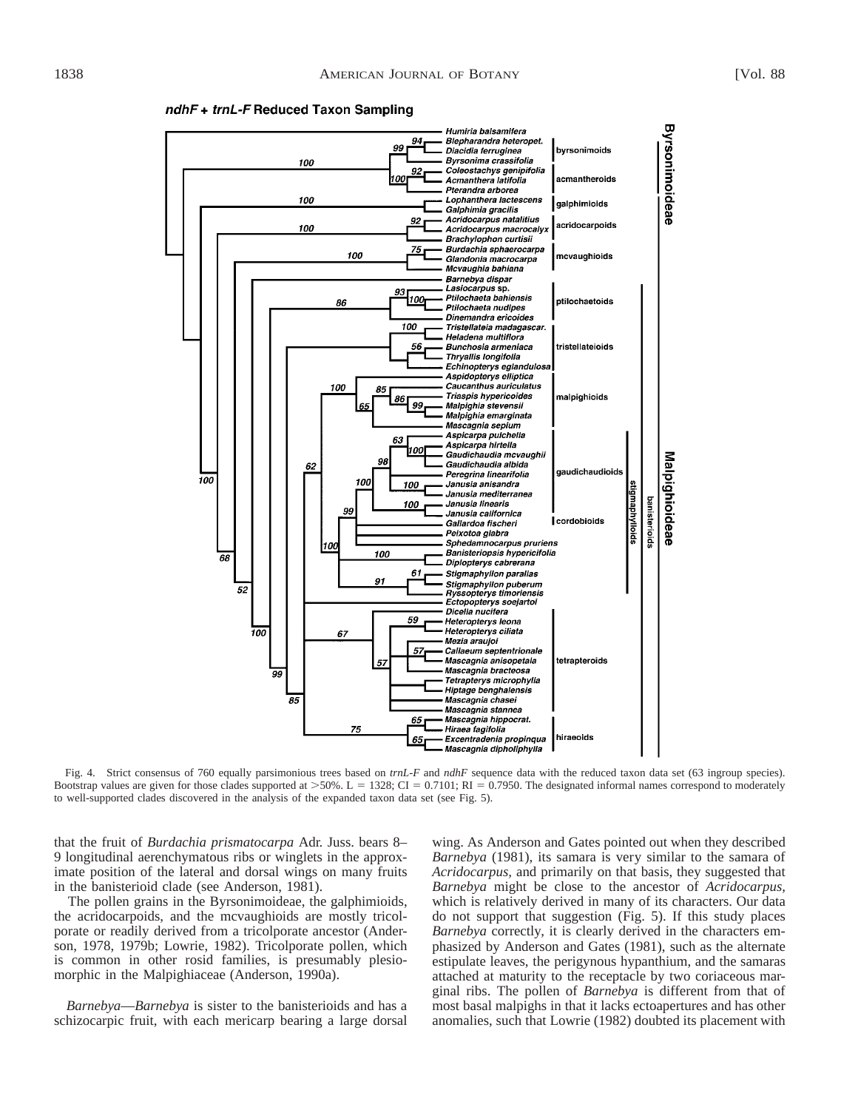

ndhF + trnL-F Reduced Taxon Sampling

Fig. 4. Strict consensus of 760 equally parsimonious trees based on *trnL-F* and *ndhF* sequence data with the reduced taxon data set (63 ingroup species). Bootstrap values are given for those clades supported at  $>50\%$ . L = 1328; CI = 0.7101; RI = 0.7950. The designated informal names correspond to moderately to well-supported clades discovered in the analysis of the expanded taxon data set (see Fig. 5).

that the fruit of *Burdachia prismatocarpa* Adr. Juss. bears 8– 9 longitudinal aerenchymatous ribs or winglets in the approximate position of the lateral and dorsal wings on many fruits in the banisterioid clade (see Anderson, 1981).

The pollen grains in the Byrsonimoideae, the galphimioids, the acridocarpoids, and the mcvaughioids are mostly tricolporate or readily derived from a tricolporate ancestor (Anderson, 1978, 1979b; Lowrie, 1982). Tricolporate pollen, which is common in other rosid families, is presumably plesiomorphic in the Malpighiaceae (Anderson, 1990a).

*Barnebya*—*Barnebya* is sister to the banisterioids and has a schizocarpic fruit, with each mericarp bearing a large dorsal

wing. As Anderson and Gates pointed out when they described *Barnebya* (1981), its samara is very similar to the samara of *Acridocarpus,* and primarily on that basis, they suggested that *Barnebya* might be close to the ancestor of *Acridocarpus,* which is relatively derived in many of its characters. Our data do not support that suggestion (Fig. 5). If this study places *Barnebya* correctly, it is clearly derived in the characters emphasized by Anderson and Gates (1981), such as the alternate estipulate leaves, the perigynous hypanthium, and the samaras attached at maturity to the receptacle by two coriaceous marginal ribs. The pollen of *Barnebya* is different from that of most basal malpighs in that it lacks ectoapertures and has other anomalies, such that Lowrie (1982) doubted its placement with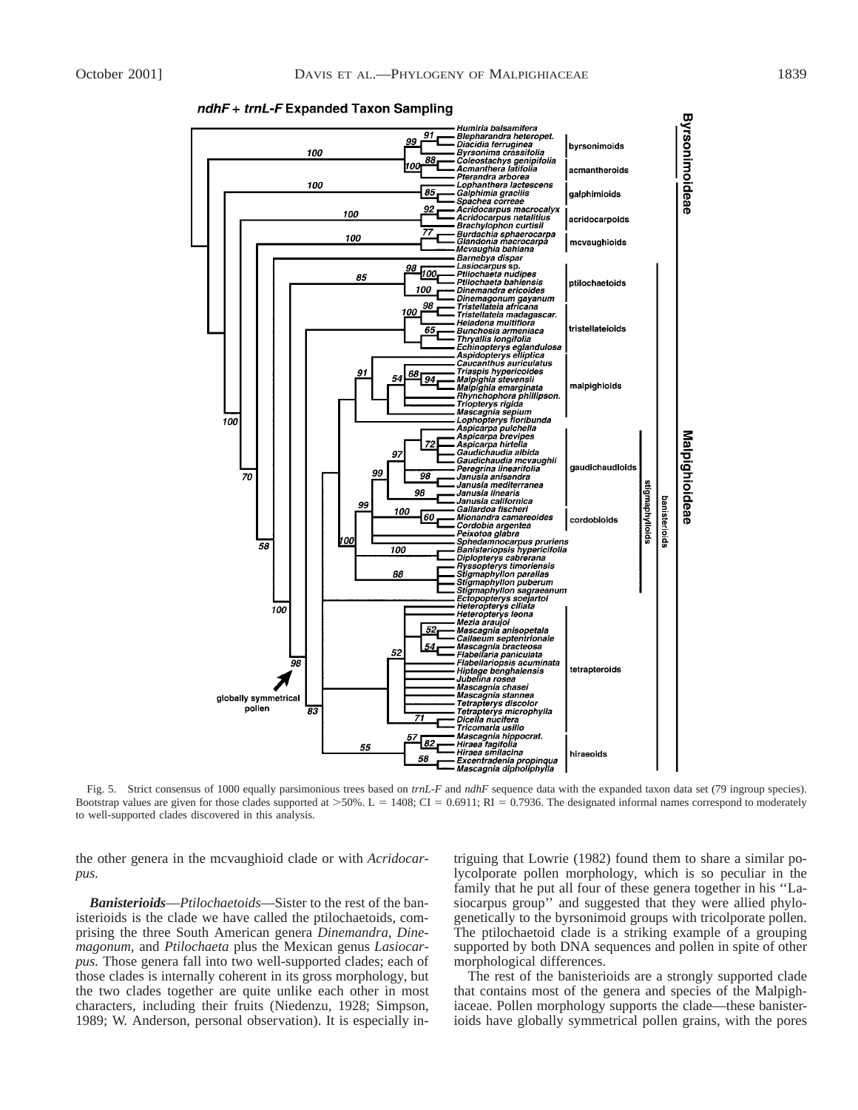

#### ndhF + trnL-F Expanded Taxon Sampling

Fig. 5. Strict consensus of 1000 equally parsimonious trees based on *trnL-F* and *ndhF* sequence data with the expanded taxon data set (79 ingroup species). Bootstrap values are given for those clades supported at  $>50\%$ . L = 1408; CI = 0.6911; RI = 0.7936. The designated informal names correspond to moderately to well-supported clades discovered in this analysis.

the other genera in the mcvaughioid clade or with *Acridocarpus.*

*Banisterioids*—*Ptilochaetoids*—Sister to the rest of the banisterioids is the clade we have called the ptilochaetoids, comprising the three South American genera *Dinemandra, Dinemagonum,* and *Ptilochaeta* plus the Mexican genus *Lasiocarpus.* Those genera fall into two well-supported clades; each of those clades is internally coherent in its gross morphology, but the two clades together are quite unlike each other in most characters, including their fruits (Niedenzu, 1928; Simpson, 1989; W. Anderson, personal observation). It is especially intriguing that Lowrie (1982) found them to share a similar polycolporate pollen morphology, which is so peculiar in the family that he put all four of these genera together in his ''Lasiocarpus group'' and suggested that they were allied phylogenetically to the byrsonimoid groups with tricolporate pollen. The ptilochaetoid clade is a striking example of a grouping supported by both DNA sequences and pollen in spite of other morphological differences.

The rest of the banisterioids are a strongly supported clade that contains most of the genera and species of the Malpighiaceae. Pollen morphology supports the clade—these banisterioids have globally symmetrical pollen grains, with the pores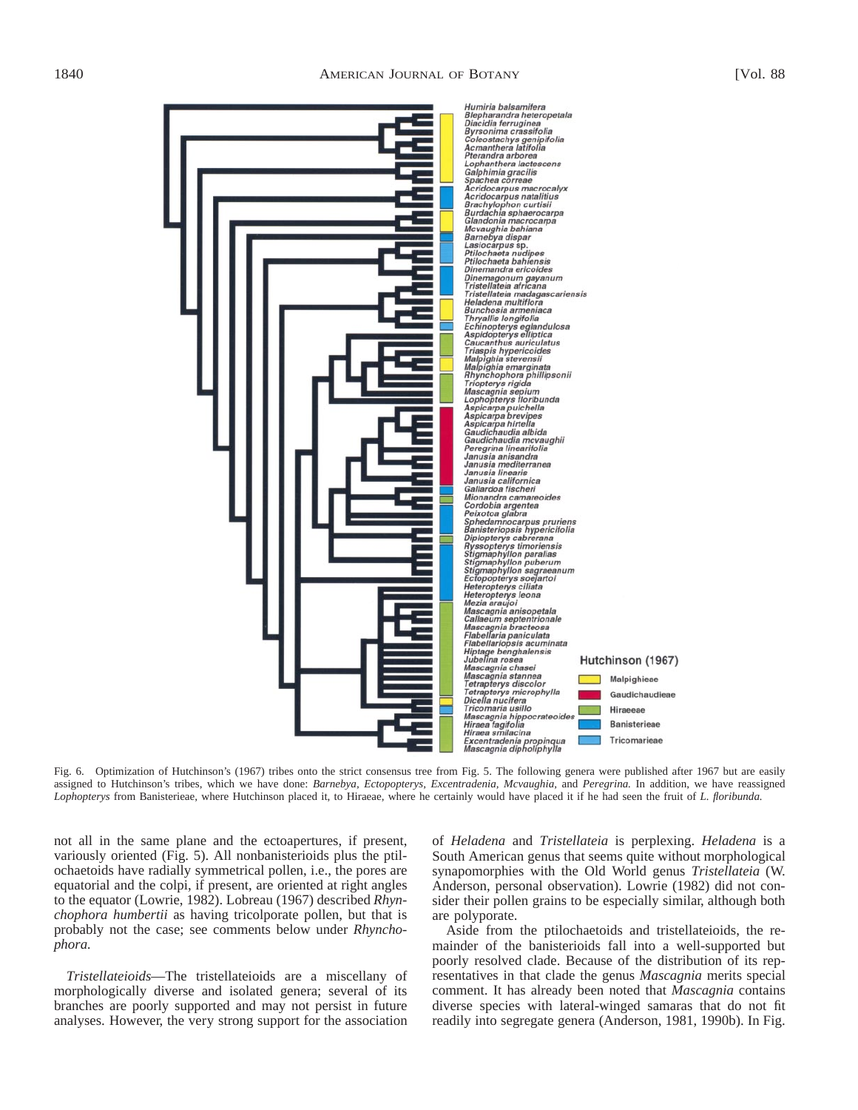

Fig. 6. Optimization of Hutchinson's (1967) tribes onto the strict consensus tree from Fig. 5. The following genera were published after 1967 but are easily assigned to Hutchinson's tribes, which we have done: *Barnebya, Ectopopterys, Excentradenia, Mcvaughia,* and *Peregrina.* In addition, we have reassigned *Lophopterys* from Banisterieae, where Hutchinson placed it, to Hiraeae, where he certainly would have placed it if he had seen the fruit of *L. floribunda.*

not all in the same plane and the ectoapertures, if present, variously oriented (Fig. 5). All nonbanisterioids plus the ptilochaetoids have radially symmetrical pollen, i.e., the pores are equatorial and the colpi, if present, are oriented at right angles to the equator (Lowrie, 1982). Lobreau (1967) described *Rhynchophora humbertii* as having tricolporate pollen, but that is probably not the case; see comments below under *Rhynchophora.*

*Tristellateioids*—The tristellateioids are a miscellany of morphologically diverse and isolated genera; several of its branches are poorly supported and may not persist in future analyses. However, the very strong support for the association of *Heladena* and *Tristellateia* is perplexing. *Heladena* is a South American genus that seems quite without morphological synapomorphies with the Old World genus *Tristellateia* (W. Anderson, personal observation). Lowrie (1982) did not consider their pollen grains to be especially similar, although both are polyporate.

Aside from the ptilochaetoids and tristellateioids, the remainder of the banisterioids fall into a well-supported but poorly resolved clade. Because of the distribution of its representatives in that clade the genus *Mascagnia* merits special comment. It has already been noted that *Mascagnia* contains diverse species with lateral-winged samaras that do not fit readily into segregate genera (Anderson, 1981, 1990b). In Fig.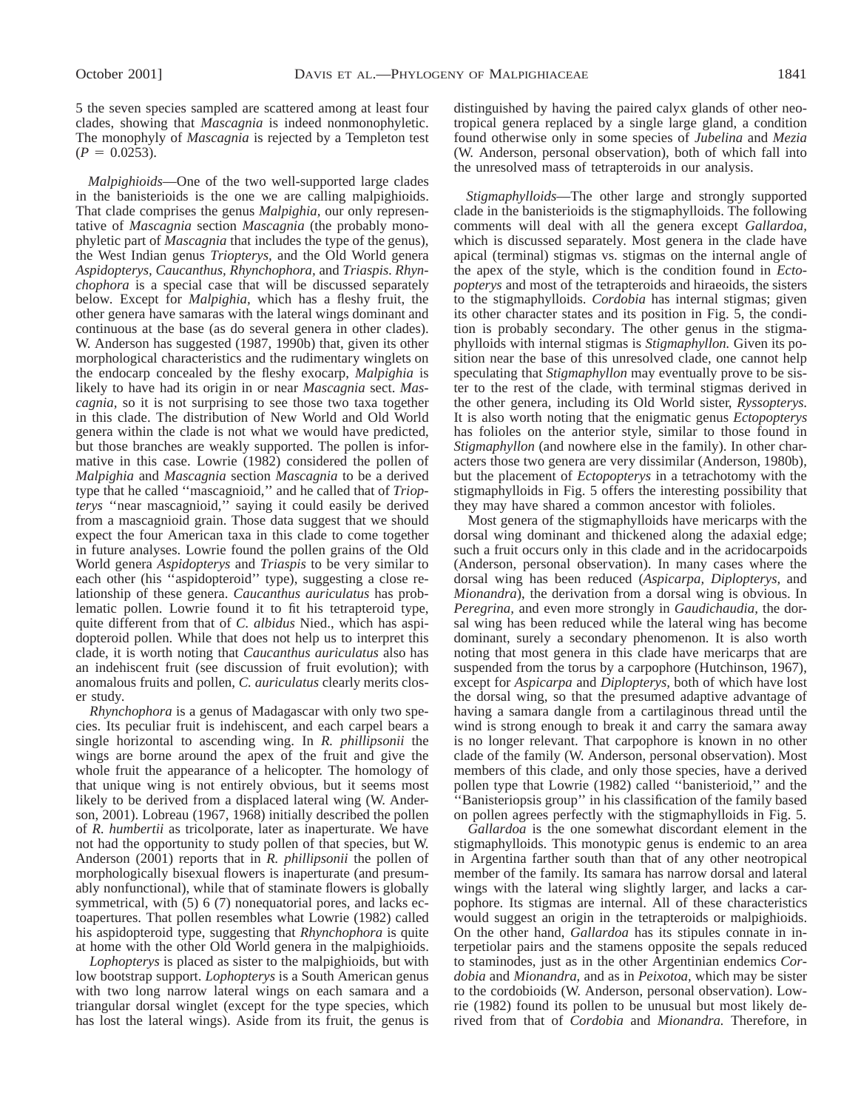5 the seven species sampled are scattered among at least four clades, showing that *Mascagnia* is indeed nonmonophyletic. The monophyly of *Mascagnia* is rejected by a Templeton test  $(P = 0.0253)$ .

*Malpighioids*—One of the two well-supported large clades in the banisterioids is the one we are calling malpighioids. That clade comprises the genus *Malpighia,* our only representative of *Mascagnia* section *Mascagnia* (the probably monophyletic part of *Mascagnia* that includes the type of the genus), the West Indian genus *Triopterys,* and the Old World genera *Aspidopterys, Caucanthus, Rhynchophora,* and *Triaspis. Rhynchophora* is a special case that will be discussed separately below. Except for *Malpighia,* which has a fleshy fruit, the other genera have samaras with the lateral wings dominant and continuous at the base (as do several genera in other clades). W. Anderson has suggested (1987, 1990b) that, given its other morphological characteristics and the rudimentary winglets on the endocarp concealed by the fleshy exocarp, *Malpighia* is likely to have had its origin in or near *Mascagnia* sect. *Mascagnia,* so it is not surprising to see those two taxa together in this clade. The distribution of New World and Old World genera within the clade is not what we would have predicted, but those branches are weakly supported. The pollen is informative in this case. Lowrie (1982) considered the pollen of *Malpighia* and *Mascagnia* section *Mascagnia* to be a derived type that he called ''mascagnioid,'' and he called that of *Triopterys* ''near mascagnioid,'' saying it could easily be derived from a mascagnioid grain. Those data suggest that we should expect the four American taxa in this clade to come together in future analyses. Lowrie found the pollen grains of the Old World genera *Aspidopterys* and *Triaspis* to be very similar to each other (his ''aspidopteroid'' type), suggesting a close relationship of these genera. *Caucanthus auriculatus* has problematic pollen. Lowrie found it to fit his tetrapteroid type, quite different from that of *C. albidus* Nied., which has aspidopteroid pollen. While that does not help us to interpret this clade, it is worth noting that *Caucanthus auriculatus* also has an indehiscent fruit (see discussion of fruit evolution); with anomalous fruits and pollen, *C. auriculatus* clearly merits closer study.

*Rhynchophora* is a genus of Madagascar with only two species. Its peculiar fruit is indehiscent, and each carpel bears a single horizontal to ascending wing. In *R. phillipsonii* the wings are borne around the apex of the fruit and give the whole fruit the appearance of a helicopter. The homology of that unique wing is not entirely obvious, but it seems most likely to be derived from a displaced lateral wing (W. Anderson, 2001). Lobreau (1967, 1968) initially described the pollen of *R. humbertii* as tricolporate, later as inaperturate. We have not had the opportunity to study pollen of that species, but W. Anderson (2001) reports that in *R. phillipsonii* the pollen of morphologically bisexual flowers is inaperturate (and presumably nonfunctional), while that of staminate flowers is globally symmetrical, with (5) 6 (7) nonequatorial pores, and lacks ectoapertures. That pollen resembles what Lowrie (1982) called his aspidopteroid type, suggesting that *Rhynchophora* is quite at home with the other Old World genera in the malpighioids.

*Lophopterys* is placed as sister to the malpighioids, but with low bootstrap support. *Lophopterys* is a South American genus with two long narrow lateral wings on each samara and a triangular dorsal winglet (except for the type species, which has lost the lateral wings). Aside from its fruit, the genus is distinguished by having the paired calyx glands of other neotropical genera replaced by a single large gland, a condition found otherwise only in some species of *Jubelina* and *Mezia* (W. Anderson, personal observation), both of which fall into the unresolved mass of tetrapteroids in our analysis.

*Stigmaphylloids*—The other large and strongly supported clade in the banisterioids is the stigmaphylloids. The following comments will deal with all the genera except *Gallardoa,* which is discussed separately. Most genera in the clade have apical (terminal) stigmas vs. stigmas on the internal angle of the apex of the style, which is the condition found in *Ectopopterys* and most of the tetrapteroids and hiraeoids, the sisters to the stigmaphylloids. *Cordobia* has internal stigmas; given its other character states and its position in Fig. 5, the condition is probably secondary. The other genus in the stigmaphylloids with internal stigmas is *Stigmaphyllon.* Given its position near the base of this unresolved clade, one cannot help speculating that *Stigmaphyllon* may eventually prove to be sister to the rest of the clade, with terminal stigmas derived in the other genera, including its Old World sister, *Ryssopterys.* It is also worth noting that the enigmatic genus *Ectopopterys* has folioles on the anterior style, similar to those found in *Stigmaphyllon* (and nowhere else in the family). In other characters those two genera are very dissimilar (Anderson, 1980b), but the placement of *Ectopopterys* in a tetrachotomy with the stigmaphylloids in Fig. 5 offers the interesting possibility that they may have shared a common ancestor with folioles.

Most genera of the stigmaphylloids have mericarps with the dorsal wing dominant and thickened along the adaxial edge; such a fruit occurs only in this clade and in the acridocarpoids (Anderson, personal observation). In many cases where the dorsal wing has been reduced (*Aspicarpa, Diplopterys,* and *Mionandra*), the derivation from a dorsal wing is obvious. In *Peregrina,* and even more strongly in *Gaudichaudia,* the dorsal wing has been reduced while the lateral wing has become dominant, surely a secondary phenomenon. It is also worth noting that most genera in this clade have mericarps that are suspended from the torus by a carpophore (Hutchinson, 1967), except for *Aspicarpa* and *Diplopterys,* both of which have lost the dorsal wing, so that the presumed adaptive advantage of having a samara dangle from a cartilaginous thread until the wind is strong enough to break it and carry the samara away is no longer relevant. That carpophore is known in no other clade of the family (W. Anderson, personal observation). Most members of this clade, and only those species, have a derived pollen type that Lowrie (1982) called ''banisterioid,'' and the ''Banisteriopsis group'' in his classification of the family based on pollen agrees perfectly with the stigmaphylloids in Fig. 5.

*Gallardoa* is the one somewhat discordant element in the stigmaphylloids. This monotypic genus is endemic to an area in Argentina farther south than that of any other neotropical member of the family. Its samara has narrow dorsal and lateral wings with the lateral wing slightly larger, and lacks a carpophore. Its stigmas are internal. All of these characteristics would suggest an origin in the tetrapteroids or malpighioids. On the other hand, *Gallardoa* has its stipules connate in interpetiolar pairs and the stamens opposite the sepals reduced to staminodes, just as in the other Argentinian endemics *Cordobia* and *Mionandra,* and as in *Peixotoa,* which may be sister to the cordobioids (W. Anderson, personal observation). Lowrie (1982) found its pollen to be unusual but most likely derived from that of *Cordobia* and *Mionandra.* Therefore, in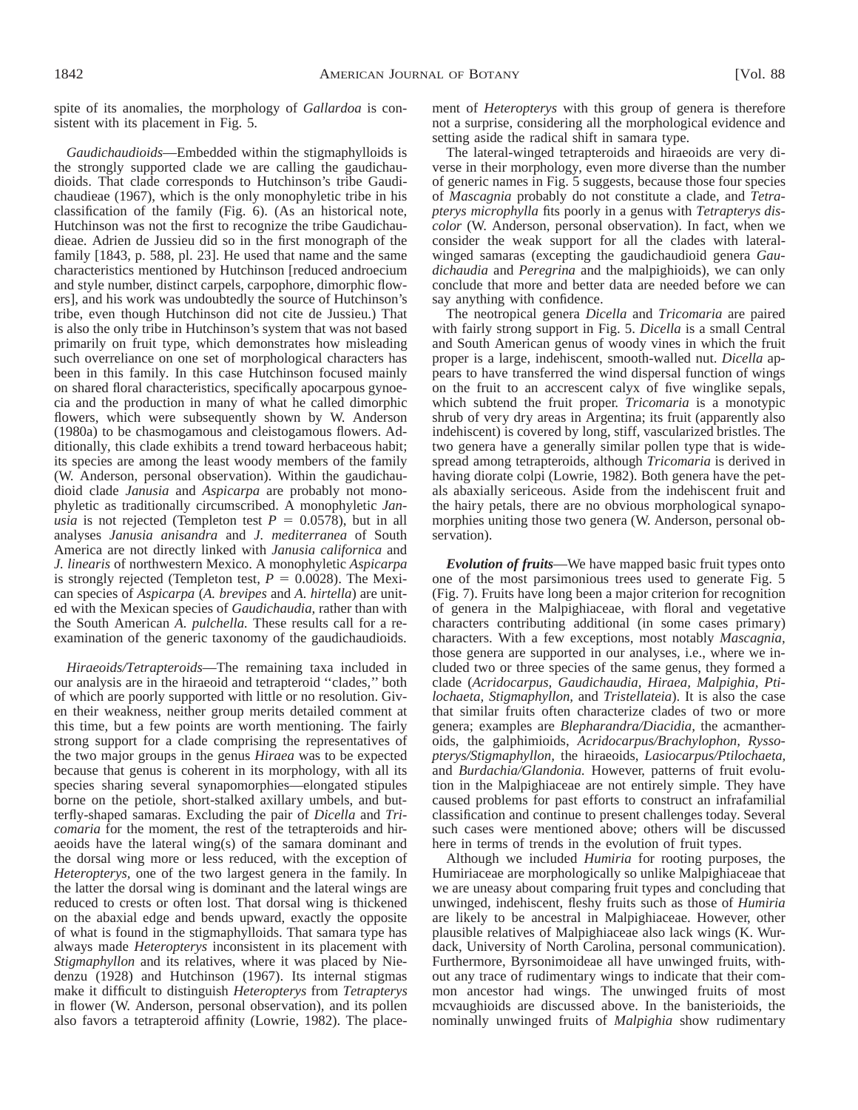spite of its anomalies, the morphology of *Gallardoa* is consistent with its placement in Fig. 5.

*Gaudichaudioids*—Embedded within the stigmaphylloids is the strongly supported clade we are calling the gaudichaudioids. That clade corresponds to Hutchinson's tribe Gaudichaudieae (1967), which is the only monophyletic tribe in his classification of the family (Fig. 6). (As an historical note, Hutchinson was not the first to recognize the tribe Gaudichaudieae. Adrien de Jussieu did so in the first monograph of the family [1843, p. 588, pl. 23]. He used that name and the same characteristics mentioned by Hutchinson [reduced androecium and style number, distinct carpels, carpophore, dimorphic flowers], and his work was undoubtedly the source of Hutchinson's tribe, even though Hutchinson did not cite de Jussieu.) That is also the only tribe in Hutchinson's system that was not based primarily on fruit type, which demonstrates how misleading such overreliance on one set of morphological characters has been in this family. In this case Hutchinson focused mainly on shared floral characteristics, specifically apocarpous gynoecia and the production in many of what he called dimorphic flowers, which were subsequently shown by W. Anderson (1980a) to be chasmogamous and cleistogamous flowers. Additionally, this clade exhibits a trend toward herbaceous habit; its species are among the least woody members of the family (W. Anderson, personal observation). Within the gaudichaudioid clade *Janusia* and *Aspicarpa* are probably not monophyletic as traditionally circumscribed. A monophyletic *Janusia* is not rejected (Templeton test  $P = 0.0578$ ), but in all analyses *Janusia anisandra* and *J. mediterranea* of South America are not directly linked with *Janusia californica* and *J. linearis* of northwestern Mexico. A monophyletic *Aspicarpa* is strongly rejected (Templeton test,  $P = 0.0028$ ). The Mexican species of *Aspicarpa* (*A. brevipes* and *A. hirtella*) are united with the Mexican species of *Gaudichaudia,* rather than with the South American *A. pulchella.* These results call for a reexamination of the generic taxonomy of the gaudichaudioids.

*Hiraeoids/Tetrapteroids*—The remaining taxa included in our analysis are in the hiraeoid and tetrapteroid ''clades,'' both of which are poorly supported with little or no resolution. Given their weakness, neither group merits detailed comment at this time, but a few points are worth mentioning. The fairly strong support for a clade comprising the representatives of the two major groups in the genus *Hiraea* was to be expected because that genus is coherent in its morphology, with all its species sharing several synapomorphies—elongated stipules borne on the petiole, short-stalked axillary umbels, and butterfly-shaped samaras. Excluding the pair of *Dicella* and *Tricomaria* for the moment, the rest of the tetrapteroids and hiraeoids have the lateral wing(s) of the samara dominant and the dorsal wing more or less reduced, with the exception of *Heteropterys,* one of the two largest genera in the family. In the latter the dorsal wing is dominant and the lateral wings are reduced to crests or often lost. That dorsal wing is thickened on the abaxial edge and bends upward, exactly the opposite of what is found in the stigmaphylloids. That samara type has always made *Heteropterys* inconsistent in its placement with *Stigmaphyllon* and its relatives, where it was placed by Niedenzu (1928) and Hutchinson (1967). Its internal stigmas make it difficult to distinguish *Heteropterys* from *Tetrapterys* in flower (W. Anderson, personal observation), and its pollen also favors a tetrapteroid affinity (Lowrie, 1982). The placement of *Heteropterys* with this group of genera is therefore not a surprise, considering all the morphological evidence and setting aside the radical shift in samara type.

The lateral-winged tetrapteroids and hiraeoids are very diverse in their morphology, even more diverse than the number of generic names in Fig. 5 suggests, because those four species of *Mascagnia* probably do not constitute a clade, and *Tetrapterys microphylla* fits poorly in a genus with *Tetrapterys discolor* (W. Anderson, personal observation). In fact, when we consider the weak support for all the clades with lateralwinged samaras (excepting the gaudichaudioid genera *Gaudichaudia* and *Peregrina* and the malpighioids), we can only conclude that more and better data are needed before we can say anything with confidence.

The neotropical genera *Dicella* and *Tricomaria* are paired with fairly strong support in Fig. 5. *Dicella* is a small Central and South American genus of woody vines in which the fruit proper is a large, indehiscent, smooth-walled nut. *Dicella* appears to have transferred the wind dispersal function of wings on the fruit to an accrescent calyx of five winglike sepals, which subtend the fruit proper. *Tricomaria* is a monotypic shrub of very dry areas in Argentina; its fruit (apparently also indehiscent) is covered by long, stiff, vascularized bristles. The two genera have a generally similar pollen type that is widespread among tetrapteroids, although *Tricomaria* is derived in having diorate colpi (Lowrie, 1982). Both genera have the petals abaxially sericeous. Aside from the indehiscent fruit and the hairy petals, there are no obvious morphological synapomorphies uniting those two genera (W. Anderson, personal observation).

*Evolution of fruits*—We have mapped basic fruit types onto one of the most parsimonious trees used to generate Fig. 5 (Fig. 7). Fruits have long been a major criterion for recognition of genera in the Malpighiaceae, with floral and vegetative characters contributing additional (in some cases primary) characters. With a few exceptions, most notably *Mascagnia,* those genera are supported in our analyses, i.e., where we included two or three species of the same genus, they formed a clade (*Acridocarpus, Gaudichaudia, Hiraea, Malpighia, Ptilochaeta, Stigmaphyllon,* and *Tristellateia*). It is also the case that similar fruits often characterize clades of two or more genera; examples are *Blepharandra/Diacidia,* the acmantheroids, the galphimioids, *Acridocarpus/Brachylophon, Ryssopterys/Stigmaphyllon,* the hiraeoids, *Lasiocarpus/Ptilochaeta,* and *Burdachia/Glandonia.* However, patterns of fruit evolution in the Malpighiaceae are not entirely simple. They have caused problems for past efforts to construct an infrafamilial classification and continue to present challenges today. Several such cases were mentioned above; others will be discussed here in terms of trends in the evolution of fruit types.

Although we included *Humiria* for rooting purposes, the Humiriaceae are morphologically so unlike Malpighiaceae that we are uneasy about comparing fruit types and concluding that unwinged, indehiscent, fleshy fruits such as those of *Humiria* are likely to be ancestral in Malpighiaceae. However, other plausible relatives of Malpighiaceae also lack wings (K. Wurdack, University of North Carolina, personal communication). Furthermore, Byrsonimoideae all have unwinged fruits, without any trace of rudimentary wings to indicate that their common ancestor had wings. The unwinged fruits of most mcvaughioids are discussed above. In the banisterioids, the nominally unwinged fruits of *Malpighia* show rudimentary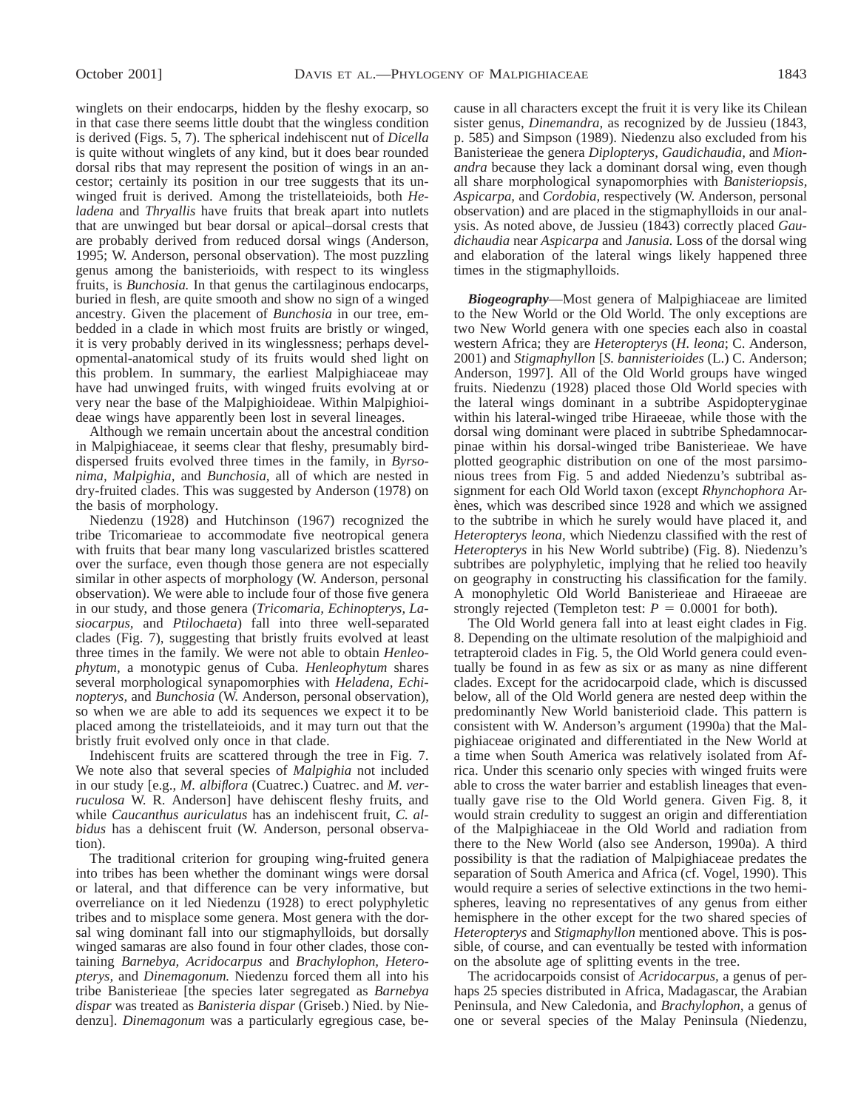winglets on their endocarps, hidden by the fleshy exocarp, so in that case there seems little doubt that the wingless condition is derived (Figs. 5, 7). The spherical indehiscent nut of *Dicella* is quite without winglets of any kind, but it does bear rounded dorsal ribs that may represent the position of wings in an ancestor; certainly its position in our tree suggests that its unwinged fruit is derived. Among the tristellateioids, both *Heladena* and *Thryallis* have fruits that break apart into nutlets that are unwinged but bear dorsal or apical–dorsal crests that are probably derived from reduced dorsal wings (Anderson, 1995; W. Anderson, personal observation). The most puzzling genus among the banisterioids, with respect to its wingless fruits, is *Bunchosia.* In that genus the cartilaginous endocarps, buried in flesh, are quite smooth and show no sign of a winged ancestry. Given the placement of *Bunchosia* in our tree, embedded in a clade in which most fruits are bristly or winged, it is very probably derived in its winglessness; perhaps developmental-anatomical study of its fruits would shed light on this problem. In summary, the earliest Malpighiaceae may have had unwinged fruits, with winged fruits evolving at or very near the base of the Malpighioideae. Within Malpighioideae wings have apparently been lost in several lineages.

Although we remain uncertain about the ancestral condition in Malpighiaceae, it seems clear that fleshy, presumably birddispersed fruits evolved three times in the family, in *Byrsonima, Malpighia,* and *Bunchosia,* all of which are nested in dry-fruited clades. This was suggested by Anderson (1978) on the basis of morphology.

Niedenzu (1928) and Hutchinson (1967) recognized the tribe Tricomarieae to accommodate five neotropical genera with fruits that bear many long vascularized bristles scattered over the surface, even though those genera are not especially similar in other aspects of morphology (W. Anderson, personal observation). We were able to include four of those five genera in our study, and those genera (*Tricomaria, Echinopterys, Lasiocarpus,* and *Ptilochaeta*) fall into three well-separated clades (Fig. 7), suggesting that bristly fruits evolved at least three times in the family. We were not able to obtain *Henleophytum,* a monotypic genus of Cuba. *Henleophytum* shares several morphological synapomorphies with *Heladena, Echinopterys,* and *Bunchosia* (W. Anderson, personal observation), so when we are able to add its sequences we expect it to be placed among the tristellateioids, and it may turn out that the bristly fruit evolved only once in that clade.

Indehiscent fruits are scattered through the tree in Fig. 7. We note also that several species of *Malpighia* not included in our study [e.g., *M. albiflora* (Cuatrec.) Cuatrec. and *M. verruculosa* W. R. Anderson] have dehiscent fleshy fruits, and while *Caucanthus auriculatus* has an indehiscent fruit, *C. albidus* has a dehiscent fruit (W. Anderson, personal observation).

The traditional criterion for grouping wing-fruited genera into tribes has been whether the dominant wings were dorsal or lateral, and that difference can be very informative, but overreliance on it led Niedenzu (1928) to erect polyphyletic tribes and to misplace some genera. Most genera with the dorsal wing dominant fall into our stigmaphylloids, but dorsally winged samaras are also found in four other clades, those containing *Barnebya, Acridocarpus* and *Brachylophon, Heteropterys,* and *Dinemagonum.* Niedenzu forced them all into his tribe Banisterieae [the species later segregated as *Barnebya dispar* was treated as *Banisteria dispar* (Griseb.) Nied. by Niedenzu]. *Dinemagonum* was a particularly egregious case, because in all characters except the fruit it is very like its Chilean sister genus, *Dinemandra,* as recognized by de Jussieu (1843, p. 585) and Simpson (1989). Niedenzu also excluded from his Banisterieae the genera *Diplopterys, Gaudichaudia,* and *Mionandra* because they lack a dominant dorsal wing, even though all share morphological synapomorphies with *Banisteriopsis, Aspicarpa,* and *Cordobia,* respectively (W. Anderson, personal observation) and are placed in the stigmaphylloids in our analysis. As noted above, de Jussieu (1843) correctly placed *Gaudichaudia* near *Aspicarpa* and *Janusia.* Loss of the dorsal wing and elaboration of the lateral wings likely happened three times in the stigmaphylloids.

*Biogeography*—Most genera of Malpighiaceae are limited to the New World or the Old World. The only exceptions are two New World genera with one species each also in coastal western Africa; they are *Heteropterys* (*H. leona*; C. Anderson, 2001) and *Stigmaphyllon* [*S. bannisterioides* (L.) C. Anderson; Anderson, 1997]. All of the Old World groups have winged fruits. Niedenzu (1928) placed those Old World species with the lateral wings dominant in a subtribe Aspidopteryginae within his lateral-winged tribe Hiraeeae, while those with the dorsal wing dominant were placed in subtribe Sphedamnocarpinae within his dorsal-winged tribe Banisterieae. We have plotted geographic distribution on one of the most parsimonious trees from Fig. 5 and added Niedenzu's subtribal assignment for each Old World taxon (except *Rhynchophora* Arenes, which was described since 1928 and which we assigned to the subtribe in which he surely would have placed it, and *Heteropterys leona,* which Niedenzu classified with the rest of *Heteropterys* in his New World subtribe) (Fig. 8). Niedenzu's subtribes are polyphyletic, implying that he relied too heavily on geography in constructing his classification for the family. A monophyletic Old World Banisterieae and Hiraeeae are strongly rejected (Templeton test:  $P = 0.0001$  for both).

The Old World genera fall into at least eight clades in Fig. 8. Depending on the ultimate resolution of the malpighioid and tetrapteroid clades in Fig. 5, the Old World genera could eventually be found in as few as six or as many as nine different clades. Except for the acridocarpoid clade, which is discussed below, all of the Old World genera are nested deep within the predominantly New World banisterioid clade. This pattern is consistent with W. Anderson's argument (1990a) that the Malpighiaceae originated and differentiated in the New World at a time when South America was relatively isolated from Africa. Under this scenario only species with winged fruits were able to cross the water barrier and establish lineages that eventually gave rise to the Old World genera. Given Fig. 8, it would strain credulity to suggest an origin and differentiation of the Malpighiaceae in the Old World and radiation from there to the New World (also see Anderson, 1990a). A third possibility is that the radiation of Malpighiaceae predates the separation of South America and Africa (cf. Vogel, 1990). This would require a series of selective extinctions in the two hemispheres, leaving no representatives of any genus from either hemisphere in the other except for the two shared species of *Heteropterys* and *Stigmaphyllon* mentioned above. This is possible, of course, and can eventually be tested with information on the absolute age of splitting events in the tree.

The acridocarpoids consist of *Acridocarpus,* a genus of perhaps 25 species distributed in Africa, Madagascar, the Arabian Peninsula, and New Caledonia, and *Brachylophon,* a genus of one or several species of the Malay Peninsula (Niedenzu,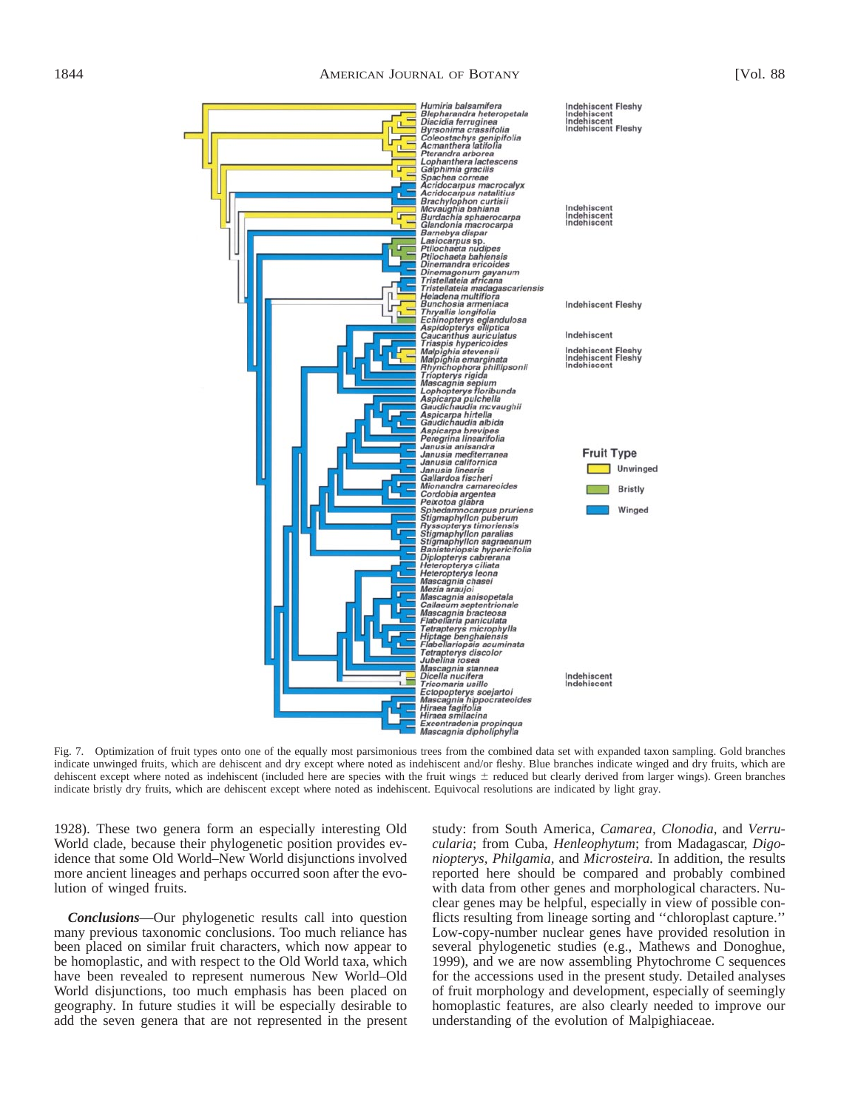

Fig. 7. Optimization of fruit types onto one of the equally most parsimonious trees from the combined data set with expanded taxon sampling. Gold branches indicate unwinged fruits, which are dehiscent and dry except where noted as indehiscent and/or fleshy. Blue branches indicate winged and dry fruits, which are dehiscent except where noted as indehiscent (included here are species with the fruit wings  $\pm$  reduced but clearly derived from larger wings). Green branches indicate bristly dry fruits, which are dehiscent except where noted as indehiscent. Equivocal resolutions are indicated by light gray.

1928). These two genera form an especially interesting Old World clade, because their phylogenetic position provides evidence that some Old World–New World disjunctions involved more ancient lineages and perhaps occurred soon after the evolution of winged fruits.

*Conclusions*—Our phylogenetic results call into question many previous taxonomic conclusions. Too much reliance has been placed on similar fruit characters, which now appear to be homoplastic, and with respect to the Old World taxa, which have been revealed to represent numerous New World–Old World disjunctions, too much emphasis has been placed on geography. In future studies it will be especially desirable to add the seven genera that are not represented in the present

study: from South America, *Camarea, Clonodia,* and *Verrucularia*; from Cuba, *Henleophytum*; from Madagascar, *Digoniopterys, Philgamia,* and *Microsteira.* In addition, the results reported here should be compared and probably combined with data from other genes and morphological characters. Nuclear genes may be helpful, especially in view of possible conflicts resulting from lineage sorting and ''chloroplast capture.'' Low-copy-number nuclear genes have provided resolution in several phylogenetic studies (e.g., Mathews and Donoghue, 1999), and we are now assembling Phytochrome C sequences for the accessions used in the present study. Detailed analyses of fruit morphology and development, especially of seemingly homoplastic features, are also clearly needed to improve our understanding of the evolution of Malpighiaceae.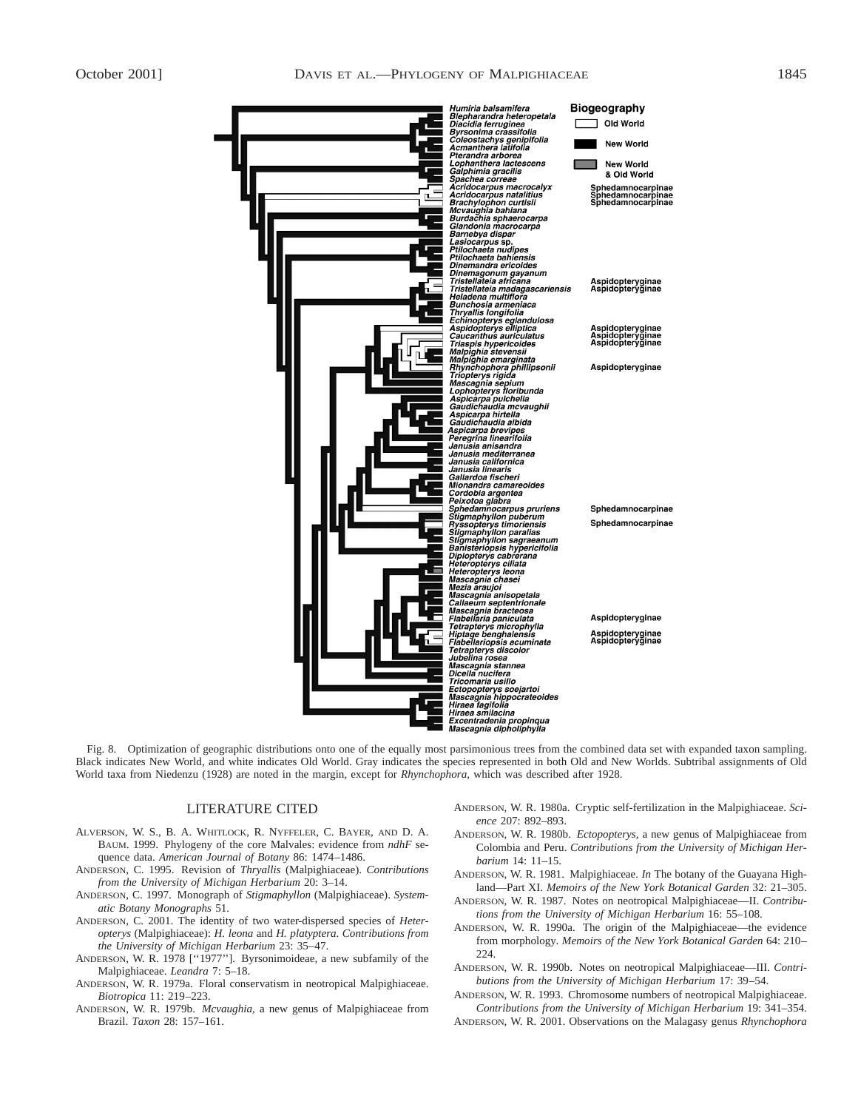

Fig. 8. Optimization of geographic distributions onto one of the equally most parsimonious trees from the combined data set with expanded taxon sampling. Black indicates New World, and white indicates Old World. Gray indicates the species represented in both Old and New Worlds. Subtribal assignments of Old World taxa from Niedenzu (1928) are noted in the margin, except for *Rhynchophora,* which was described after 1928.

#### LITERATURE CITED

- ALVERSON, W. S., B. A. WHITLOCK, R. NYFFELER, C. BAYER, AND D. A. BAUM. 1999. Phylogeny of the core Malvales: evidence from *ndhF* sequence data. *American Journal of Botany* 86: 1474–1486.
- ANDERSON, C. 1995. Revision of *Thryallis* (Malpighiaceae). *Contributions from the University of Michigan Herbarium* 20: 3–14.
- ANDERSON, C. 1997. Monograph of *Stigmaphyllon* (Malpighiaceae). *Systematic Botany Monographs* 51.
- ANDERSON, C. 2001. The identity of two water-dispersed species of *Heteropterys* (Malpighiaceae): *H. leona* and *H. platyptera. Contributions from the University of Michigan Herbarium* 23: 35–47.
- ANDERSON, W. R. 1978 [''1977'']. Byrsonimoideae, a new subfamily of the Malpighiaceae. *Leandra* 7: 5–18.
- ANDERSON, W. R. 1979a. Floral conservatism in neotropical Malpighiaceae. *Biotropica* 11: 219–223.
- ANDERSON, W. R. 1979b. *Mcvaughia,* a new genus of Malpighiaceae from Brazil. *Taxon* 28: 157–161.
- ANDERSON, W. R. 1980a. Cryptic self-fertilization in the Malpighiaceae. *Science* 207: 892–893.
- ANDERSON, W. R. 1980b. *Ectopopterys,* a new genus of Malpighiaceae from Colombia and Peru. *Contributions from the University of Michigan Herbarium* 14: 11–15.
- ANDERSON, W. R. 1981. Malpighiaceae. *In* The botany of the Guayana Highland—Part XI. *Memoirs of the New York Botanical Garden* 32: 21–305.
- ANDERSON, W. R. 1987. Notes on neotropical Malpighiaceae—II. *Contributions from the University of Michigan Herbarium* 16: 55–108.
- ANDERSON, W. R. 1990a. The origin of the Malpighiaceae—the evidence from morphology. *Memoirs of the New York Botanical Garden* 64: 210– 224.
- ANDERSON, W. R. 1990b. Notes on neotropical Malpighiaceae—III. *Contributions from the University of Michigan Herbarium* 17: 39–54.

ANDERSON, W. R. 1993. Chromosome numbers of neotropical Malpighiaceae. *Contributions from the University of Michigan Herbarium* 19: 341–354.

ANDERSON, W. R. 2001. Observations on the Malagasy genus *Rhynchophora*